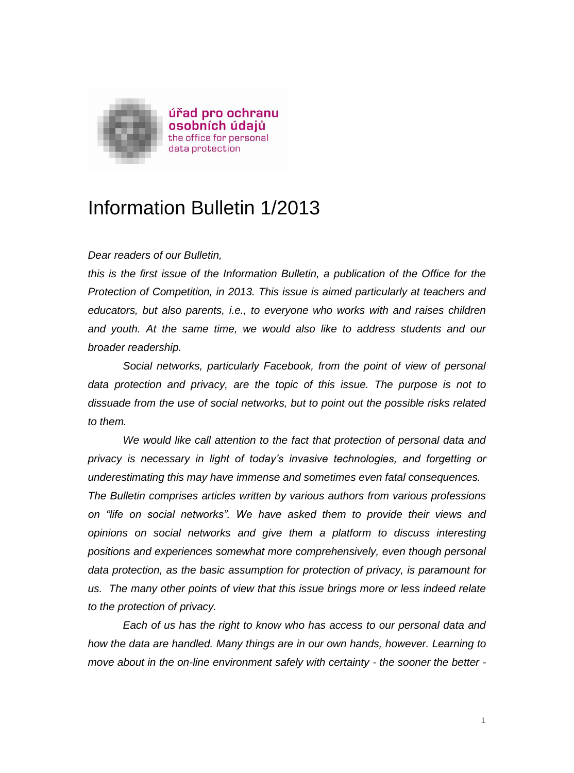

# Information Bulletin 1/2013

#### *Dear readers of our Bulletin,*

*this is the first issue of the Information Bulletin, a publication of the Office for the Protection of Competition, in 2013. This issue is aimed particularly at teachers and educators, but also parents, i.e., to everyone who works with and raises children and youth. At the same time, we would also like to address students and our broader readership.* 

*Social networks, particularly Facebook, from the point of view of personal data protection and privacy, are the topic of this issue. The purpose is not to dissuade from the use of social networks, but to point out the possible risks related to them.* 

*We would like call attention to the fact that protection of personal data and privacy is necessary in light of today's invasive technologies, and forgetting or underestimating this may have immense and sometimes even fatal consequences. The Bulletin comprises articles written by various authors from various professions on "life on social networks". We have asked them to provide their views and opinions on social networks and give them a platform to discuss interesting positions and experiences somewhat more comprehensively, even though personal data protection, as the basic assumption for protection of privacy, is paramount for us. The many other points of view that this issue brings more or less indeed relate to the protection of privacy.*

*Each of us has the right to know who has access to our personal data and how the data are handled. Many things are in our own hands, however. Learning to move about in the on-line environment safely with certainty - the sooner the better -*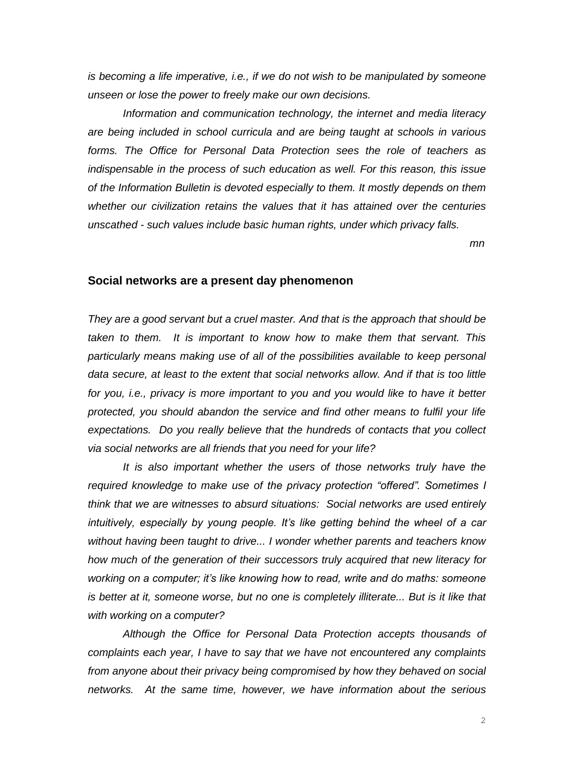*is becoming a life imperative, i.e., if we do not wish to be manipulated by someone unseen or lose the power to freely make our own decisions.*

*Information and communication technology, the internet and media literacy are being included in school curricula and are being taught at schools in various forms. The Office for Personal Data Protection sees the role of teachers as indispensable in the process of such education as well. For this reason, this issue of the Information Bulletin is devoted especially to them. It mostly depends on them whether our civilization retains the values that it has attained over the centuries unscathed - such values include basic human rights, under which privacy falls.* 

*mn* 

#### **Social networks are a present day phenomenon**

*They are a good servant but a cruel master. And that is the approach that should be taken to them. It is important to know how to make them that servant. This particularly means making use of all of the possibilities available to keep personal data secure, at least to the extent that social networks allow. And if that is too little for you, i.e., privacy is more important to you and you would like to have it better protected, you should abandon the service and find other means to fulfil your life expectations. Do you really believe that the hundreds of contacts that you collect via social networks are all friends that you need for your life?*

*It is also important whether the users of those networks truly have the required knowledge to make use of the privacy protection "offered". Sometimes I think that we are witnesses to absurd situations: Social networks are used entirely intuitively, especially by young people. It's like getting behind the wheel of a car without having been taught to drive... I wonder whether parents and teachers know how much of the generation of their successors truly acquired that new literacy for working on a computer; it's like knowing how to read, write and do maths: someone is better at it, someone worse, but no one is completely illiterate... But is it like that with working on a computer?* 

*Although the Office for Personal Data Protection accepts thousands of complaints each year, I have to say that we have not encountered any complaints from anyone about their privacy being compromised by how they behaved on social networks. At the same time, however, we have information about the serious*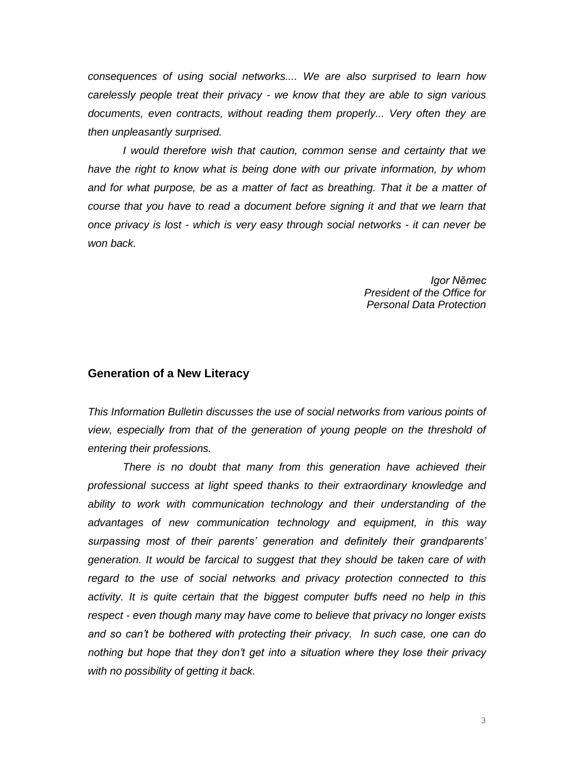*consequences of using social networks.... We are also surprised to learn how carelessly people treat their privacy - we know that they are able to sign various documents, even contracts, without reading them properly... Very often they are then unpleasantly surprised.* 

*I would therefore wish that caution, common sense and certainty that we have the right to know what is being done with our private information, by whom* and for what purpose, be as a matter of fact as breathing. That it be a matter of *course that you have to read a document before signing it and that we learn that once privacy is lost - which is very easy through social networks - it can never be won back.*

> *Igor Němec President of the Office for Personal Data Protection*

#### **Generation of a New Literacy**

*This Information Bulletin discusses the use of social networks from various points of view, especially from that of the generation of young people on the threshold of entering their professions.* 

*There is no doubt that many from this generation have achieved their professional success at light speed thanks to their extraordinary knowledge and ability to work with communication technology and their understanding of the advantages of new communication technology and equipment, in this way surpassing most of their parents' generation and definitely their grandparents' generation. It would be farcical to suggest that they should be taken care of with regard to the use of social networks and privacy protection connected to this activity. It is quite certain that the biggest computer buffs need no help in this respect - even though many may have come to believe that privacy no longer exists and so can't be bothered with protecting their privacy. In such case, one can do nothing but hope that they don't get into a situation where they lose their privacy with no possibility of getting it back.*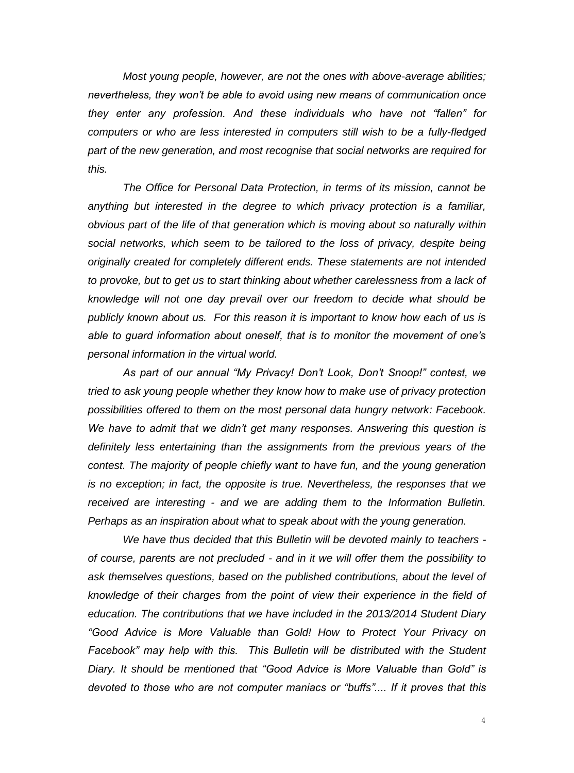*Most young people, however, are not the ones with above-average abilities; nevertheless, they won't be able to avoid using new means of communication once they enter any profession. And these individuals who have not "fallen" for computers or who are less interested in computers still wish to be a fully-fledged part of the new generation, and most recognise that social networks are required for this.* 

*The Office for Personal Data Protection, in terms of its mission, cannot be*  anything but interested in the degree to which privacy protection is a familiar, *obvious part of the life of that generation which is moving about so naturally within social networks, which seem to be tailored to the loss of privacy, despite being originally created for completely different ends. These statements are not intended to provoke, but to get us to start thinking about whether carelessness from a lack of knowledge will not one day prevail over our freedom to decide what should be publicly known about us. For this reason it is important to know how each of us is able to guard information about oneself, that is to monitor the movement of one's personal information in the virtual world.* 

*As part of our annual "My Privacy! Don't Look, Don't Snoop!" contest, we tried to ask young people whether they know how to make use of privacy protection possibilities offered to them on the most personal data hungry network: Facebook. We have to admit that we didn't get many responses. Answering this question is definitely less entertaining than the assignments from the previous years of the contest. The majority of people chiefly want to have fun, and the young generation is no exception; in fact, the opposite is true. Nevertheless, the responses that we received are interesting - and we are adding them to the Information Bulletin. Perhaps as an inspiration about what to speak about with the young generation.*

*We have thus decided that this Bulletin will be devoted mainly to teachers of course, parents are not precluded - and in it we will offer them the possibility to ask themselves questions, based on the published contributions, about the level of knowledge of their charges from the point of view their experience in the field of education. The contributions that we have included in the 2013/2014 Student Diary "Good Advice is More Valuable than Gold! How to Protect Your Privacy on*  Facebook" may help with this. This Bulletin will be distributed with the Student *Diary. It should be mentioned that "Good Advice is More Valuable than Gold" is devoted to those who are not computer maniacs or "buffs".... If it proves that this*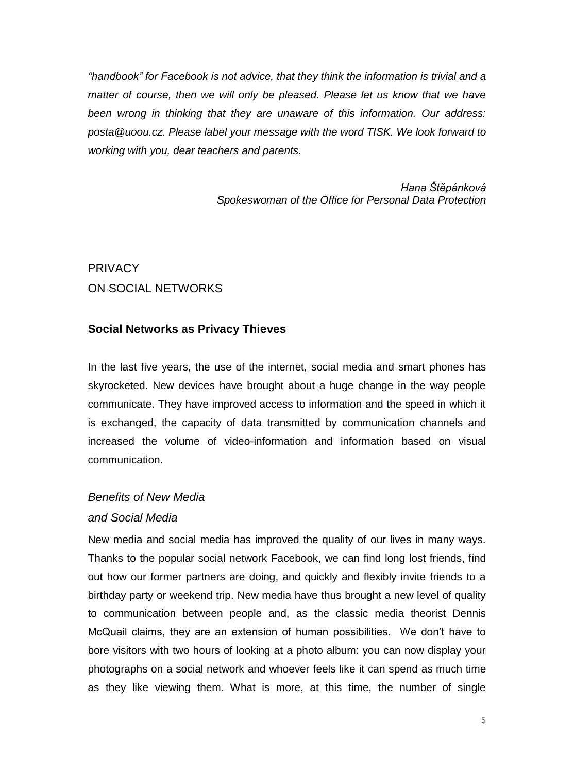*"handbook" for Facebook is not advice, that they think the information is trivial and a matter of course, then we will only be pleased. Please let us know that we have been wrong in thinking that they are unaware of this information. Our address: posta@uoou.cz. Please label your message with the word TISK. We look forward to working with you, dear teachers and parents.* 

> *Hana Štěpánková Spokeswoman of the Office for Personal Data Protection*

## **PRIVACY** ON SOCIAL NETWORKS

## **Social Networks as Privacy Thieves**

In the last five years, the use of the internet, social media and smart phones has skyrocketed. New devices have brought about a huge change in the way people communicate. They have improved access to information and the speed in which it is exchanged, the capacity of data transmitted by communication channels and increased the volume of video-information and information based on visual communication.

## *Benefits of New Media*

## *and Social Media*

New media and social media has improved the quality of our lives in many ways. Thanks to the popular social network Facebook, we can find long lost friends, find out how our former partners are doing, and quickly and flexibly invite friends to a birthday party or weekend trip. New media have thus brought a new level of quality to communication between people and, as the classic media theorist Dennis McQuail claims, they are an extension of human possibilities. We don't have to bore visitors with two hours of looking at a photo album: you can now display your photographs on a social network and whoever feels like it can spend as much time as they like viewing them. What is more, at this time, the number of single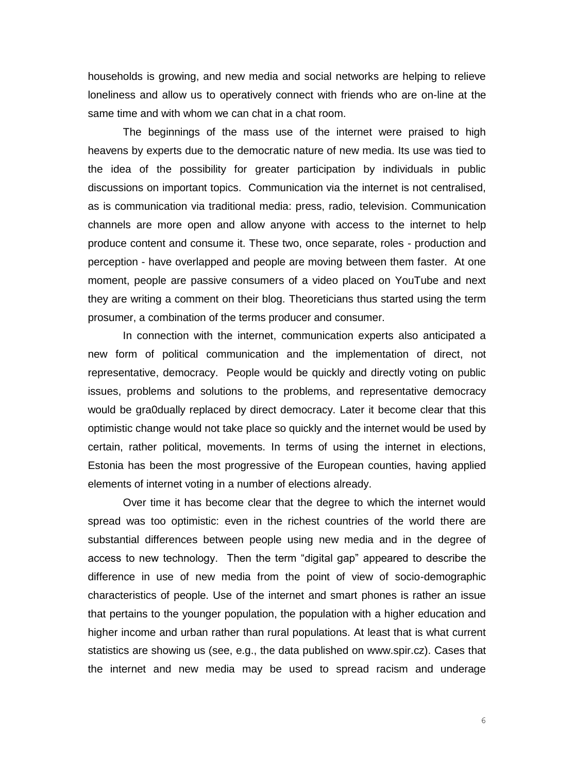households is growing, and new media and social networks are helping to relieve loneliness and allow us to operatively connect with friends who are on-line at the same time and with whom we can chat in a chat room.

The beginnings of the mass use of the internet were praised to high heavens by experts due to the democratic nature of new media. Its use was tied to the idea of the possibility for greater participation by individuals in public discussions on important topics. Communication via the internet is not centralised, as is communication via traditional media: press, radio, television. Communication channels are more open and allow anyone with access to the internet to help produce content and consume it. These two, once separate, roles - production and perception - have overlapped and people are moving between them faster. At one moment, people are passive consumers of a video placed on YouTube and next they are writing a comment on their blog. Theoreticians thus started using the term prosumer, a combination of the terms producer and consumer.

In connection with the internet, communication experts also anticipated a new form of political communication and the implementation of direct, not representative, democracy. People would be quickly and directly voting on public issues, problems and solutions to the problems, and representative democracy would be gra0dually replaced by direct democracy. Later it become clear that this optimistic change would not take place so quickly and the internet would be used by certain, rather political, movements. In terms of using the internet in elections, Estonia has been the most progressive of the European counties, having applied elements of internet voting in a number of elections already.

Over time it has become clear that the degree to which the internet would spread was too optimistic: even in the richest countries of the world there are substantial differences between people using new media and in the degree of access to new technology. Then the term "digital gap" appeared to describe the difference in use of new media from the point of view of socio-demographic characteristics of people. Use of the internet and smart phones is rather an issue that pertains to the younger population, the population with a higher education and higher income and urban rather than rural populations. At least that is what current statistics are showing us (see, e.g., the data published on www.spir.cz). Cases that the internet and new media may be used to spread racism and underage

6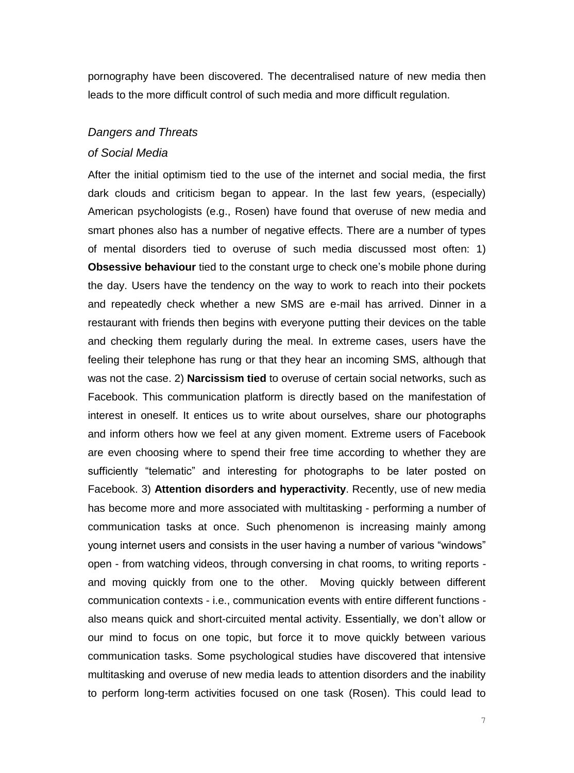pornography have been discovered. The decentralised nature of new media then leads to the more difficult control of such media and more difficult regulation.

#### *Dangers and Threats*

#### *of Social Media*

After the initial optimism tied to the use of the internet and social media, the first dark clouds and criticism began to appear. In the last few years, (especially) American psychologists (e.g., Rosen) have found that overuse of new media and smart phones also has a number of negative effects. There are a number of types of mental disorders tied to overuse of such media discussed most often: 1) **Obsessive behaviour** tied to the constant urge to check one's mobile phone during the day. Users have the tendency on the way to work to reach into their pockets and repeatedly check whether a new SMS are e-mail has arrived. Dinner in a restaurant with friends then begins with everyone putting their devices on the table and checking them regularly during the meal. In extreme cases, users have the feeling their telephone has rung or that they hear an incoming SMS, although that was not the case. 2) **Narcissism tied** to overuse of certain social networks, such as Facebook. This communication platform is directly based on the manifestation of interest in oneself. It entices us to write about ourselves, share our photographs and inform others how we feel at any given moment. Extreme users of Facebook are even choosing where to spend their free time according to whether they are sufficiently "telematic" and interesting for photographs to be later posted on Facebook. 3) **Attention disorders and hyperactivity**. Recently, use of new media has become more and more associated with multitasking - performing a number of communication tasks at once. Such phenomenon is increasing mainly among young internet users and consists in the user having a number of various "windows" open - from watching videos, through conversing in chat rooms, to writing reports and moving quickly from one to the other. Moving quickly between different communication contexts - i.e., communication events with entire different functions also means quick and short-circuited mental activity. Essentially, we don't allow or our mind to focus on one topic, but force it to move quickly between various communication tasks. Some psychological studies have discovered that intensive multitasking and overuse of new media leads to attention disorders and the inability to perform long-term activities focused on one task (Rosen). This could lead to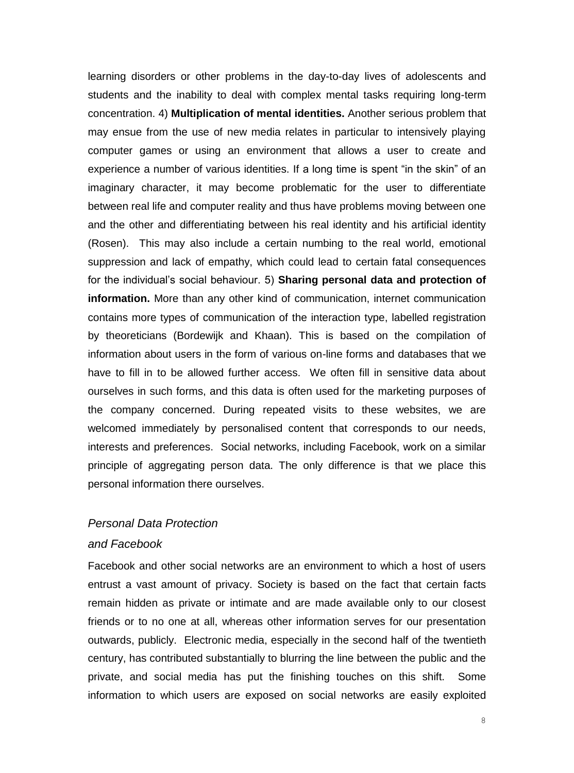learning disorders or other problems in the day-to-day lives of adolescents and students and the inability to deal with complex mental tasks requiring long-term concentration. 4) **Multiplication of mental identities.** Another serious problem that may ensue from the use of new media relates in particular to intensively playing computer games or using an environment that allows a user to create and experience a number of various identities. If a long time is spent "in the skin" of an imaginary character, it may become problematic for the user to differentiate between real life and computer reality and thus have problems moving between one and the other and differentiating between his real identity and his artificial identity (Rosen). This may also include a certain numbing to the real world, emotional suppression and lack of empathy, which could lead to certain fatal consequences for the individual's social behaviour. 5) **Sharing personal data and protection of information.** More than any other kind of communication, internet communication contains more types of communication of the interaction type, labelled registration by theoreticians (Bordewijk and Khaan). This is based on the compilation of information about users in the form of various on-line forms and databases that we have to fill in to be allowed further access. We often fill in sensitive data about ourselves in such forms, and this data is often used for the marketing purposes of the company concerned. During repeated visits to these websites, we are welcomed immediately by personalised content that corresponds to our needs, interests and preferences. Social networks, including Facebook, work on a similar principle of aggregating person data. The only difference is that we place this personal information there ourselves.

#### *Personal Data Protection*

#### *and Facebook*

Facebook and other social networks are an environment to which a host of users entrust a vast amount of privacy. Society is based on the fact that certain facts remain hidden as private or intimate and are made available only to our closest friends or to no one at all, whereas other information serves for our presentation outwards, publicly. Electronic media, especially in the second half of the twentieth century, has contributed substantially to blurring the line between the public and the private, and social media has put the finishing touches on this shift. Some information to which users are exposed on social networks are easily exploited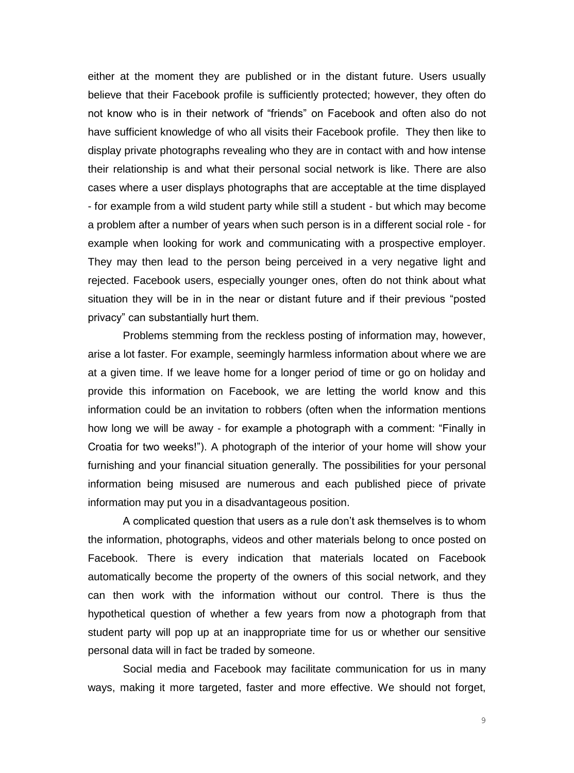either at the moment they are published or in the distant future. Users usually believe that their Facebook profile is sufficiently protected; however, they often do not know who is in their network of "friends" on Facebook and often also do not have sufficient knowledge of who all visits their Facebook profile. They then like to display private photographs revealing who they are in contact with and how intense their relationship is and what their personal social network is like. There are also cases where a user displays photographs that are acceptable at the time displayed - for example from a wild student party while still a student - but which may become a problem after a number of years when such person is in a different social role - for example when looking for work and communicating with a prospective employer. They may then lead to the person being perceived in a very negative light and rejected. Facebook users, especially younger ones, often do not think about what situation they will be in in the near or distant future and if their previous "posted privacy" can substantially hurt them.

Problems stemming from the reckless posting of information may, however, arise a lot faster. For example, seemingly harmless information about where we are at a given time. If we leave home for a longer period of time or go on holiday and provide this information on Facebook, we are letting the world know and this information could be an invitation to robbers (often when the information mentions how long we will be away - for example a photograph with a comment: "Finally in Croatia for two weeks!"). A photograph of the interior of your home will show your furnishing and your financial situation generally. The possibilities for your personal information being misused are numerous and each published piece of private information may put you in a disadvantageous position.

A complicated question that users as a rule don't ask themselves is to whom the information, photographs, videos and other materials belong to once posted on Facebook. There is every indication that materials located on Facebook automatically become the property of the owners of this social network, and they can then work with the information without our control. There is thus the hypothetical question of whether a few years from now a photograph from that student party will pop up at an inappropriate time for us or whether our sensitive personal data will in fact be traded by someone.

Social media and Facebook may facilitate communication for us in many ways, making it more targeted, faster and more effective. We should not forget,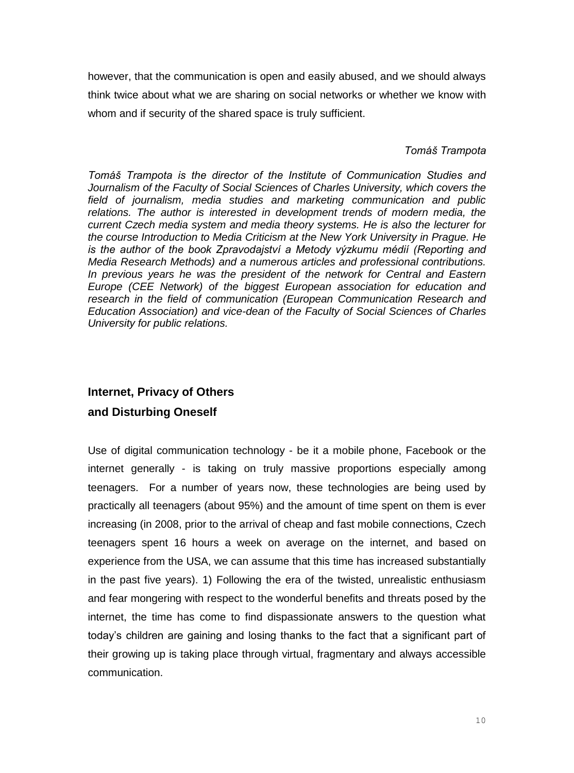however, that the communication is open and easily abused, and we should always think twice about what we are sharing on social networks or whether we know with whom and if security of the shared space is truly sufficient.

#### *Tomáš Trampota*

*Tomáš Trampota is the director of the Institute of Communication Studies and*  Journalism of the Faculty of Social Sciences of Charles University, which covers the *field of journalism, media studies and marketing communication and public*  relations. The author is interested in development trends of modern media, the *current Czech media system and media theory systems. He is also the lecturer for the course Introduction to Media Criticism at the New York University in Prague. He is the author of the book Zpravodajství a Metody výzkumu médií (Reporting and Media Research Methods) and a numerous articles and professional contributions. In previous years he was the president of the network for Central and Eastern Europe (CEE Network) of the biggest European association for education and research in the field of communication (European Communication Research and Education Association) and vice-dean of the Faculty of Social Sciences of Charles University for public relations.* 

## **Internet, Privacy of Others and Disturbing Oneself**

Use of digital communication technology - be it a mobile phone, Facebook or the internet generally - is taking on truly massive proportions especially among teenagers. For a number of years now, these technologies are being used by practically all teenagers (about 95%) and the amount of time spent on them is ever increasing (in 2008, prior to the arrival of cheap and fast mobile connections, Czech teenagers spent 16 hours a week on average on the internet, and based on experience from the USA, we can assume that this time has increased substantially in the past five years). 1) Following the era of the twisted, unrealistic enthusiasm and fear mongering with respect to the wonderful benefits and threats posed by the internet, the time has come to find dispassionate answers to the question what today's children are gaining and losing thanks to the fact that a significant part of their growing up is taking place through virtual, fragmentary and always accessible communication.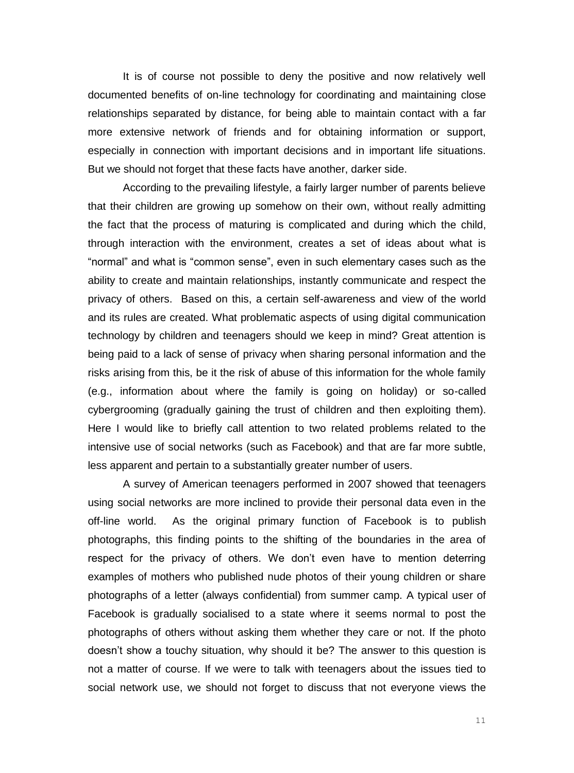It is of course not possible to deny the positive and now relatively well documented benefits of on-line technology for coordinating and maintaining close relationships separated by distance, for being able to maintain contact with a far more extensive network of friends and for obtaining information or support, especially in connection with important decisions and in important life situations. But we should not forget that these facts have another, darker side.

According to the prevailing lifestyle, a fairly larger number of parents believe that their children are growing up somehow on their own, without really admitting the fact that the process of maturing is complicated and during which the child, through interaction with the environment, creates a set of ideas about what is "normal" and what is "common sense", even in such elementary cases such as the ability to create and maintain relationships, instantly communicate and respect the privacy of others. Based on this, a certain self-awareness and view of the world and its rules are created. What problematic aspects of using digital communication technology by children and teenagers should we keep in mind? Great attention is being paid to a lack of sense of privacy when sharing personal information and the risks arising from this, be it the risk of abuse of this information for the whole family (e.g., information about where the family is going on holiday) or so-called cybergrooming (gradually gaining the trust of children and then exploiting them). Here I would like to briefly call attention to two related problems related to the intensive use of social networks (such as Facebook) and that are far more subtle, less apparent and pertain to a substantially greater number of users.

A survey of American teenagers performed in 2007 showed that teenagers using social networks are more inclined to provide their personal data even in the off-line world. As the original primary function of Facebook is to publish photographs, this finding points to the shifting of the boundaries in the area of respect for the privacy of others. We don't even have to mention deterring examples of mothers who published nude photos of their young children or share photographs of a letter (always confidential) from summer camp. A typical user of Facebook is gradually socialised to a state where it seems normal to post the photographs of others without asking them whether they care or not. If the photo doesn't show a touchy situation, why should it be? The answer to this question is not a matter of course. If we were to talk with teenagers about the issues tied to social network use, we should not forget to discuss that not everyone views the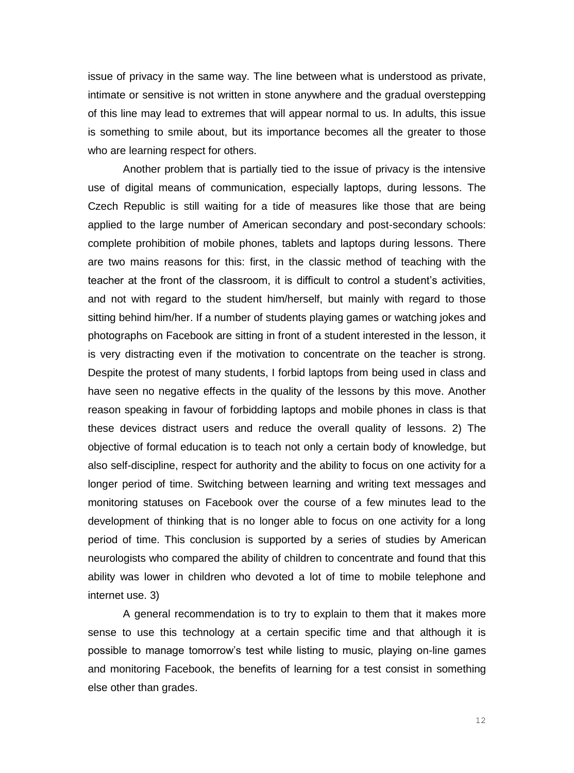issue of privacy in the same way. The line between what is understood as private, intimate or sensitive is not written in stone anywhere and the gradual overstepping of this line may lead to extremes that will appear normal to us. In adults, this issue is something to smile about, but its importance becomes all the greater to those who are learning respect for others.

Another problem that is partially tied to the issue of privacy is the intensive use of digital means of communication, especially laptops, during lessons. The Czech Republic is still waiting for a tide of measures like those that are being applied to the large number of American secondary and post-secondary schools: complete prohibition of mobile phones, tablets and laptops during lessons. There are two mains reasons for this: first, in the classic method of teaching with the teacher at the front of the classroom, it is difficult to control a student's activities, and not with regard to the student him/herself, but mainly with regard to those sitting behind him/her. If a number of students playing games or watching jokes and photographs on Facebook are sitting in front of a student interested in the lesson, it is very distracting even if the motivation to concentrate on the teacher is strong. Despite the protest of many students, I forbid laptops from being used in class and have seen no negative effects in the quality of the lessons by this move. Another reason speaking in favour of forbidding laptops and mobile phones in class is that these devices distract users and reduce the overall quality of lessons. 2) The objective of formal education is to teach not only a certain body of knowledge, but also self-discipline, respect for authority and the ability to focus on one activity for a longer period of time. Switching between learning and writing text messages and monitoring statuses on Facebook over the course of a few minutes lead to the development of thinking that is no longer able to focus on one activity for a long period of time. This conclusion is supported by a series of studies by American neurologists who compared the ability of children to concentrate and found that this ability was lower in children who devoted a lot of time to mobile telephone and internet use. 3)

A general recommendation is to try to explain to them that it makes more sense to use this technology at a certain specific time and that although it is possible to manage tomorrow's test while listing to music, playing on-line games and monitoring Facebook, the benefits of learning for a test consist in something else other than grades.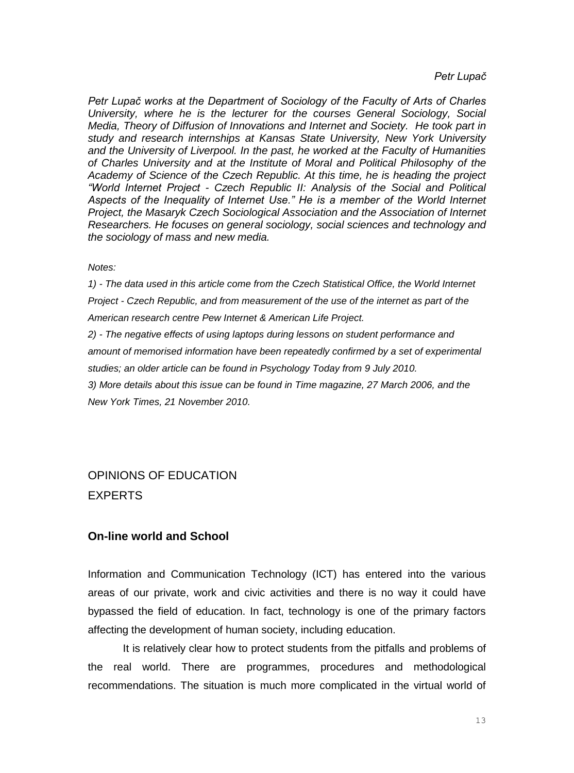*Petr Lupač*

*Petr Lupač works at the Department of Sociology of the Faculty of Arts of Charles University, where he is the lecturer for the courses General Sociology, Social Media, Theory of Diffusion of Innovations and Internet and Society. He took part in study and research internships at Kansas State University, New York University and the University of Liverpool. In the past, he worked at the Faculty of Humanities of Charles University and at the Institute of Moral and Political Philosophy of the Academy of Science of the Czech Republic. At this time, he is heading the project "World Internet Project - Czech Republic II: Analysis of the Social and Political*  Aspects of the Inequality of Internet Use." He is a member of the World Internet *Project, the Masaryk Czech Sociological Association and the Association of Internet Researchers. He focuses on general sociology, social sciences and technology and the sociology of mass and new media.* 

#### *Notes:*

*1) - The data used in this article come from the Czech Statistical Office, the World Internet Project - Czech Republic, and from measurement of the use of the internet as part of the American research centre Pew Internet & American Life Project.*

*2) - The negative effects of using laptops during lessons on student performance and amount of memorised information have been repeatedly confirmed by a set of experimental studies; an older article can be found in Psychology Today from 9 July 2010.*

*3) More details about this issue can be found in Time magazine, 27 March 2006, and the New York Times, 21 November 2010.*

## OPINIONS OF EDUCATION EXPERTS

#### **On-line world and School**

Information and Communication Technology (ICT) has entered into the various areas of our private, work and civic activities and there is no way it could have bypassed the field of education. In fact, technology is one of the primary factors affecting the development of human society, including education.

It is relatively clear how to protect students from the pitfalls and problems of the real world. There are programmes, procedures and methodological recommendations. The situation is much more complicated in the virtual world of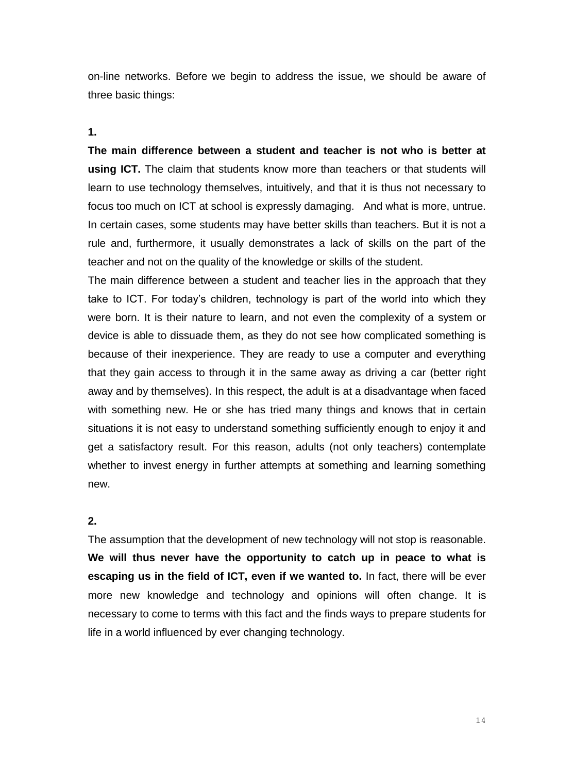on-line networks. Before we begin to address the issue, we should be aware of three basic things:

**1.** 

**The main difference between a student and teacher is not who is better at using ICT.** The claim that students know more than teachers or that students will learn to use technology themselves, intuitively, and that it is thus not necessary to focus too much on ICT at school is expressly damaging. And what is more, untrue. In certain cases, some students may have better skills than teachers. But it is not a rule and, furthermore, it usually demonstrates a lack of skills on the part of the teacher and not on the quality of the knowledge or skills of the student.

The main difference between a student and teacher lies in the approach that they take to ICT. For today's children, technology is part of the world into which they were born. It is their nature to learn, and not even the complexity of a system or device is able to dissuade them, as they do not see how complicated something is because of their inexperience. They are ready to use a computer and everything that they gain access to through it in the same away as driving a car (better right away and by themselves). In this respect, the adult is at a disadvantage when faced with something new. He or she has tried many things and knows that in certain situations it is not easy to understand something sufficiently enough to enjoy it and get a satisfactory result. For this reason, adults (not only teachers) contemplate whether to invest energy in further attempts at something and learning something new.

## **2.**

The assumption that the development of new technology will not stop is reasonable. **We will thus never have the opportunity to catch up in peace to what is escaping us in the field of ICT, even if we wanted to.** In fact, there will be ever more new knowledge and technology and opinions will often change. It is necessary to come to terms with this fact and the finds ways to prepare students for life in a world influenced by ever changing technology.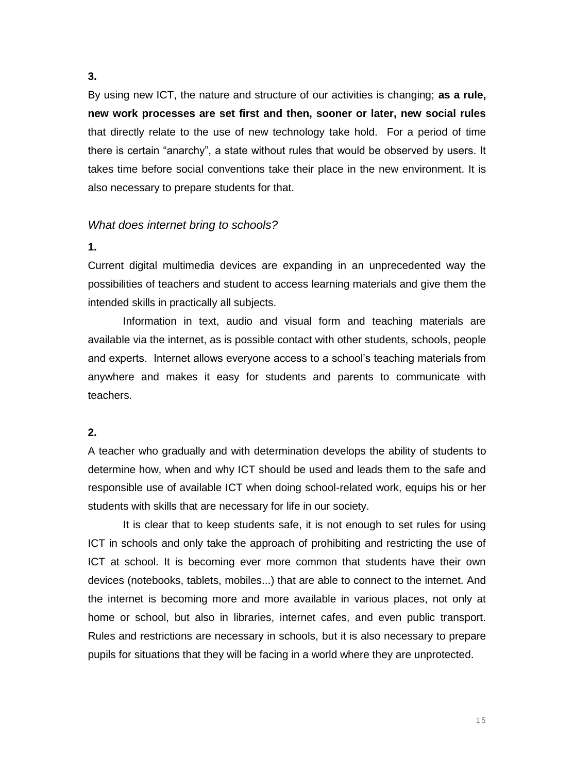#### **3.**

By using new ICT, the nature and structure of our activities is changing; **as a rule, new work processes are set first and then, sooner or later, new social rules** that directly relate to the use of new technology take hold. For a period of time there is certain "anarchy", a state without rules that would be observed by users. It takes time before social conventions take their place in the new environment. It is also necessary to prepare students for that.

#### *What does internet bring to schools?*

#### **1.**

Current digital multimedia devices are expanding in an unprecedented way the possibilities of teachers and student to access learning materials and give them the intended skills in practically all subjects.

Information in text, audio and visual form and teaching materials are available via the internet, as is possible contact with other students, schools, people and experts. Internet allows everyone access to a school's teaching materials from anywhere and makes it easy for students and parents to communicate with teachers.

#### **2.**

A teacher who gradually and with determination develops the ability of students to determine how, when and why ICT should be used and leads them to the safe and responsible use of available ICT when doing school-related work, equips his or her students with skills that are necessary for life in our society.

It is clear that to keep students safe, it is not enough to set rules for using ICT in schools and only take the approach of prohibiting and restricting the use of ICT at school. It is becoming ever more common that students have their own devices (notebooks, tablets, mobiles...) that are able to connect to the internet. And the internet is becoming more and more available in various places, not only at home or school, but also in libraries, internet cafes, and even public transport. Rules and restrictions are necessary in schools, but it is also necessary to prepare pupils for situations that they will be facing in a world where they are unprotected.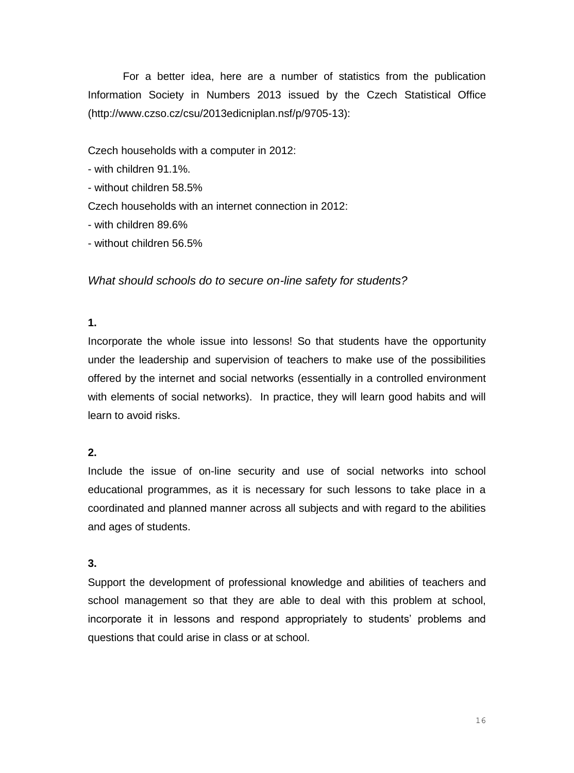For a better idea, here are a number of statistics from the publication Information Society in Numbers 2013 issued by the Czech Statistical Office (http://www.czso.cz/csu/2013edicniplan.nsf/p/9705-13):

Czech households with a computer in 2012:

- with children 91.1%.

- without children 58.5%

Czech households with an internet connection in 2012:

- with children 89.6%

- without children 56.5%

#### *What should schools do to secure on-line safety for students?*

## **1.**

Incorporate the whole issue into lessons! So that students have the opportunity under the leadership and supervision of teachers to make use of the possibilities offered by the internet and social networks (essentially in a controlled environment with elements of social networks). In practice, they will learn good habits and will learn to avoid risks.

## **2.**

Include the issue of on-line security and use of social networks into school educational programmes, as it is necessary for such lessons to take place in a coordinated and planned manner across all subjects and with regard to the abilities and ages of students.

## **3.**

Support the development of professional knowledge and abilities of teachers and school management so that they are able to deal with this problem at school, incorporate it in lessons and respond appropriately to students' problems and questions that could arise in class or at school.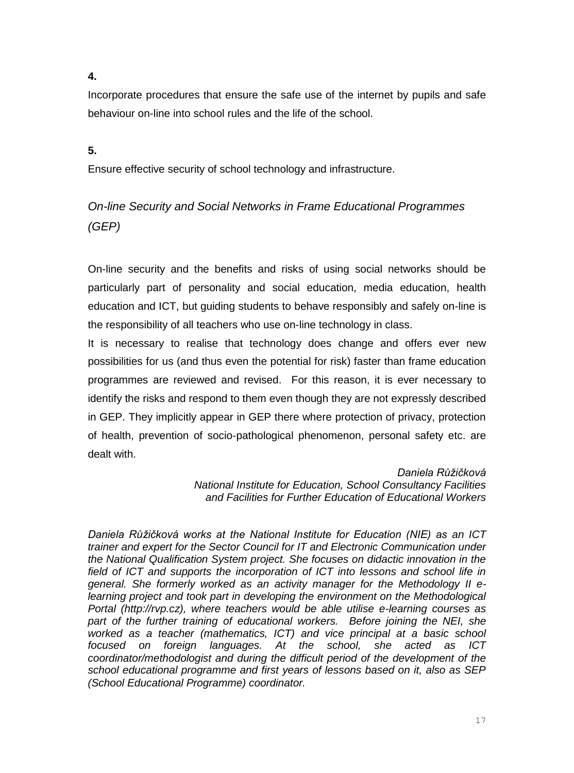## **4.**

Incorporate procedures that ensure the safe use of the internet by pupils and safe behaviour on-line into school rules and the life of the school.

## **5.**

Ensure effective security of school technology and infrastructure.

## *On-line Security and Social Networks in Frame Educational Programmes (GEP)*

On-line security and the benefits and risks of using social networks should be particularly part of personality and social education, media education, health education and ICT, but guiding students to behave responsibly and safely on-line is the responsibility of all teachers who use on-line technology in class.

It is necessary to realise that technology does change and offers ever new possibilities for us (and thus even the potential for risk) faster than frame education programmes are reviewed and revised. For this reason, it is ever necessary to identify the risks and respond to them even though they are not expressly described in GEP. They implicitly appear in GEP there where protection of privacy, protection of health, prevention of socio-pathological phenomenon, personal safety etc. are dealt with.

> *Daniela Růžičková National Institute for Education, School Consultancy Facilities and Facilities for Further Education of Educational Workers*

*Daniela Růžičková works at the National Institute for Education (NIE) as an ICT trainer and expert for the Sector Council for IT and Electronic Communication under the National Qualification System project. She focuses on didactic innovation in the field of ICT and supports the incorporation of ICT into lessons and school life in general. She formerly worked as an activity manager for the Methodology II elearning project and took part in developing the environment on the Methodological Portal (http://rvp.cz), where teachers would be able utilise e-learning courses as part of the further training of educational workers. Before joining the NEI, she worked as a teacher (mathematics, ICT) and vice principal at a basic school focused on foreign languages. At the school, she acted as ICT coordinator/methodologist and during the difficult period of the development of the school educational programme and first years of lessons based on it, also as SEP (School Educational Programme) coordinator.*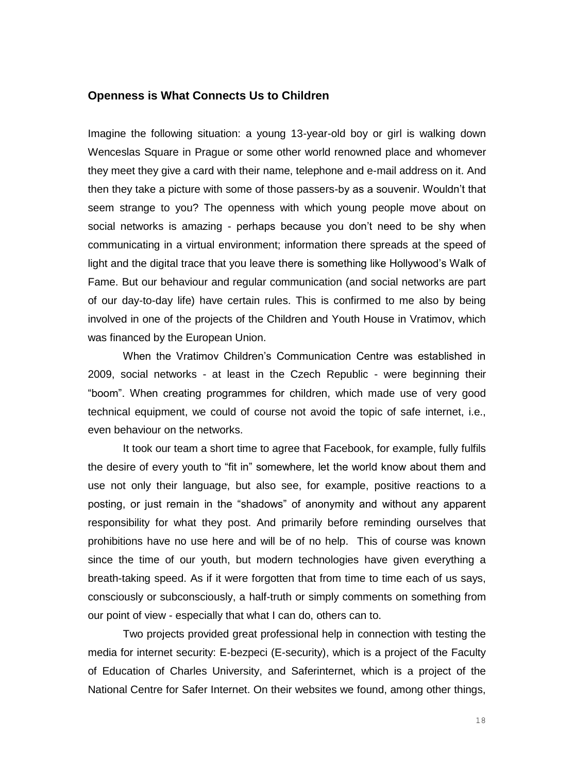#### **Openness is What Connects Us to Children**

Imagine the following situation: a young 13-year-old boy or girl is walking down Wenceslas Square in Prague or some other world renowned place and whomever they meet they give a card with their name, telephone and e-mail address on it. And then they take a picture with some of those passers-by as a souvenir. Wouldn't that seem strange to you? The openness with which young people move about on social networks is amazing - perhaps because you don't need to be shy when communicating in a virtual environment; information there spreads at the speed of light and the digital trace that you leave there is something like Hollywood's Walk of Fame. But our behaviour and regular communication (and social networks are part of our day-to-day life) have certain rules. This is confirmed to me also by being involved in one of the projects of the Children and Youth House in Vratimov, which was financed by the European Union.

When the Vratimov Children's Communication Centre was established in 2009, social networks - at least in the Czech Republic - were beginning their "boom". When creating programmes for children, which made use of very good technical equipment, we could of course not avoid the topic of safe internet, i.e., even behaviour on the networks.

It took our team a short time to agree that Facebook, for example, fully fulfils the desire of every youth to "fit in" somewhere, let the world know about them and use not only their language, but also see, for example, positive reactions to a posting, or just remain in the "shadows" of anonymity and without any apparent responsibility for what they post. And primarily before reminding ourselves that prohibitions have no use here and will be of no help. This of course was known since the time of our youth, but modern technologies have given everything a breath-taking speed. As if it were forgotten that from time to time each of us says, consciously or subconsciously, a half-truth or simply comments on something from our point of view - especially that what I can do, others can to.

Two projects provided great professional help in connection with testing the media for internet security: E-bezpeci (E-security), which is a project of the Faculty of Education of Charles University, and Saferinternet, which is a project of the National Centre for Safer Internet. On their websites we found, among other things,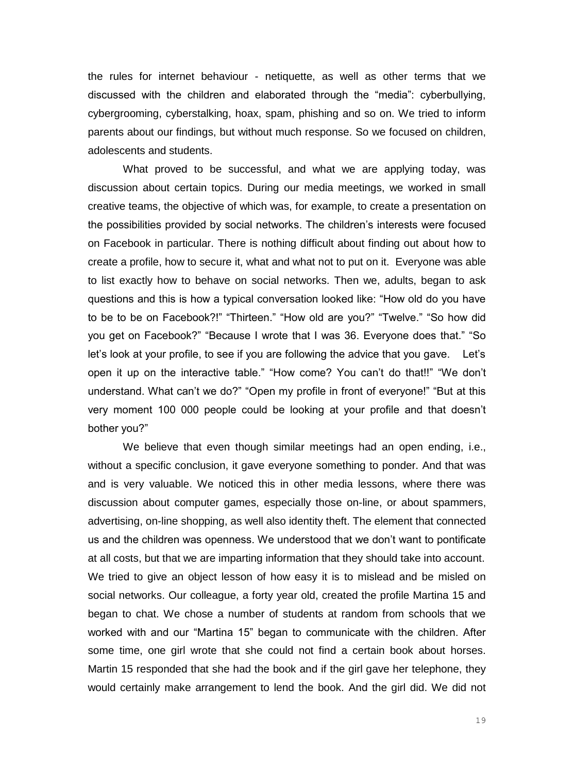the rules for internet behaviour - netiquette, as well as other terms that we discussed with the children and elaborated through the "media": cyberbullying, cybergrooming, cyberstalking, hoax, spam, phishing and so on. We tried to inform parents about our findings, but without much response. So we focused on children, adolescents and students.

What proved to be successful, and what we are applying today, was discussion about certain topics. During our media meetings, we worked in small creative teams, the objective of which was, for example, to create a presentation on the possibilities provided by social networks. The children's interests were focused on Facebook in particular. There is nothing difficult about finding out about how to create a profile, how to secure it, what and what not to put on it. Everyone was able to list exactly how to behave on social networks. Then we, adults, began to ask questions and this is how a typical conversation looked like: "How old do you have to be to be on Facebook?!" "Thirteen." "How old are you?" "Twelve." "So how did you get on Facebook?" "Because I wrote that I was 36. Everyone does that." "So let's look at your profile, to see if you are following the advice that you gave. Let's open it up on the interactive table." "How come? You can't do that!!" "We don't understand. What can't we do?" "Open my profile in front of everyone!" "But at this very moment 100 000 people could be looking at your profile and that doesn't bother you?"

We believe that even though similar meetings had an open ending, i.e., without a specific conclusion, it gave everyone something to ponder. And that was and is very valuable. We noticed this in other media lessons, where there was discussion about computer games, especially those on-line, or about spammers, advertising, on-line shopping, as well also identity theft. The element that connected us and the children was openness. We understood that we don't want to pontificate at all costs, but that we are imparting information that they should take into account. We tried to give an object lesson of how easy it is to mislead and be misled on social networks. Our colleague, a forty year old, created the profile Martina 15 and began to chat. We chose a number of students at random from schools that we worked with and our "Martina 15" began to communicate with the children. After some time, one girl wrote that she could not find a certain book about horses. Martin 15 responded that she had the book and if the girl gave her telephone, they would certainly make arrangement to lend the book. And the girl did. We did not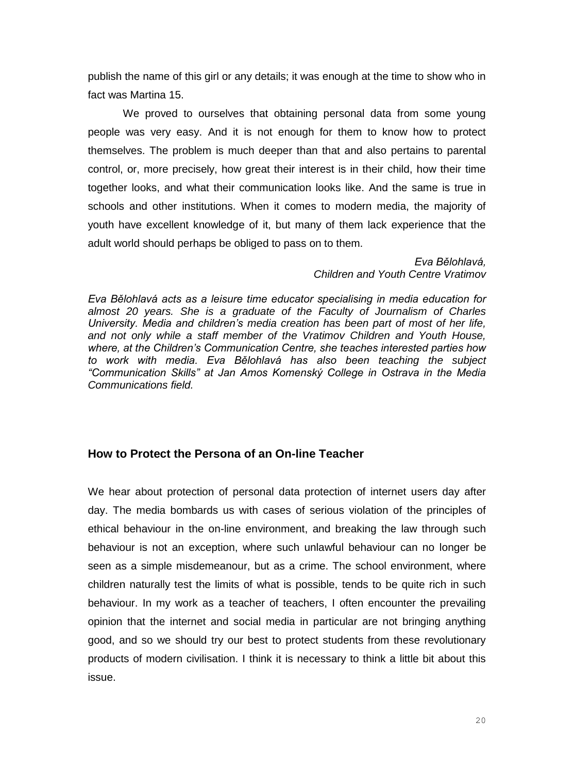publish the name of this girl or any details; it was enough at the time to show who in fact was Martina 15.

We proved to ourselves that obtaining personal data from some young people was very easy. And it is not enough for them to know how to protect themselves. The problem is much deeper than that and also pertains to parental control, or, more precisely, how great their interest is in their child, how their time together looks, and what their communication looks like. And the same is true in schools and other institutions. When it comes to modern media, the majority of youth have excellent knowledge of it, but many of them lack experience that the adult world should perhaps be obliged to pass on to them.

> *Eva Bělohlavá, Children and Youth Centre Vratimov*

*Eva Bělohlavá acts as a leisure time educator specialising in media education for almost 20 years. She is a graduate of the Faculty of Journalism of Charles University. Media and children's media creation has been part of most of her life, and not only while a staff member of the Vratimov Children and Youth House, where, at the Children's Communication Centre, she teaches interested parties how to work with media. Eva Bělohlavá has also been teaching the subject "Communication Skills" at Jan Amos Komenský College in Ostrava in the Media Communications field.* 

## **How to Protect the Persona of an On-line Teacher**

We hear about protection of personal data protection of internet users day after day. The media bombards us with cases of serious violation of the principles of ethical behaviour in the on-line environment, and breaking the law through such behaviour is not an exception, where such unlawful behaviour can no longer be seen as a simple misdemeanour, but as a crime. The school environment, where children naturally test the limits of what is possible, tends to be quite rich in such behaviour. In my work as a teacher of teachers, I often encounter the prevailing opinion that the internet and social media in particular are not bringing anything good, and so we should try our best to protect students from these revolutionary products of modern civilisation. I think it is necessary to think a little bit about this issue.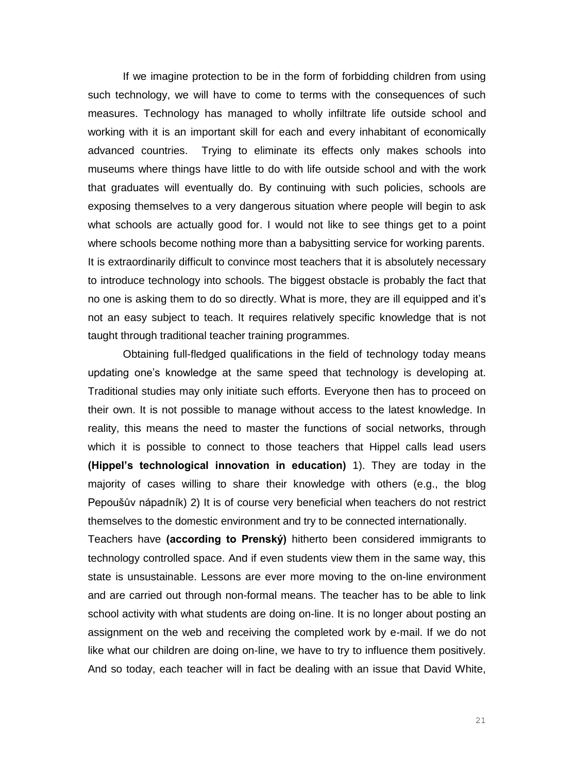If we imagine protection to be in the form of forbidding children from using such technology, we will have to come to terms with the consequences of such measures. Technology has managed to wholly infiltrate life outside school and working with it is an important skill for each and every inhabitant of economically advanced countries. Trying to eliminate its effects only makes schools into museums where things have little to do with life outside school and with the work that graduates will eventually do. By continuing with such policies, schools are exposing themselves to a very dangerous situation where people will begin to ask what schools are actually good for. I would not like to see things get to a point where schools become nothing more than a babysitting service for working parents. It is extraordinarily difficult to convince most teachers that it is absolutely necessary to introduce technology into schools. The biggest obstacle is probably the fact that no one is asking them to do so directly. What is more, they are ill equipped and it's not an easy subject to teach. It requires relatively specific knowledge that is not taught through traditional teacher training programmes.

Obtaining full-fledged qualifications in the field of technology today means updating one's knowledge at the same speed that technology is developing at. Traditional studies may only initiate such efforts. Everyone then has to proceed on their own. It is not possible to manage without access to the latest knowledge. In reality, this means the need to master the functions of social networks, through which it is possible to connect to those teachers that Hippel calls lead users **(Hippel's technological innovation in education)** 1). They are today in the majority of cases willing to share their knowledge with others (e.g., the blog Pepoušův nápadník) 2) It is of course very beneficial when teachers do not restrict themselves to the domestic environment and try to be connected internationally.

Teachers have **(according to Prenský)** hitherto been considered immigrants to technology controlled space. And if even students view them in the same way, this state is unsustainable. Lessons are ever more moving to the on-line environment and are carried out through non-formal means. The teacher has to be able to link school activity with what students are doing on-line. It is no longer about posting an assignment on the web and receiving the completed work by e-mail. If we do not like what our children are doing on-line, we have to try to influence them positively. And so today, each teacher will in fact be dealing with an issue that David White,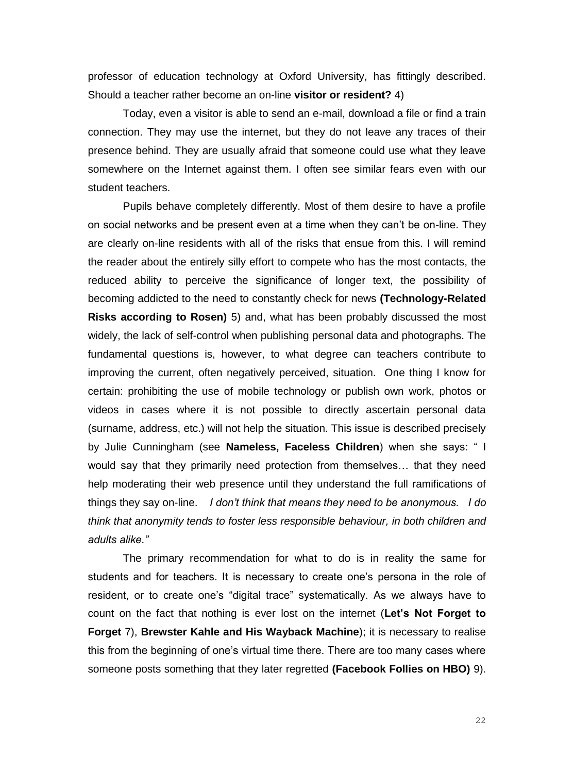professor of education technology at Oxford University, has fittingly described. Should a teacher rather become an on-line **visitor or resident?** 4)

Today, even a visitor is able to send an e-mail, download a file or find a train connection. They may use the internet, but they do not leave any traces of their presence behind. They are usually afraid that someone could use what they leave somewhere on the Internet against them. I often see similar fears even with our student teachers.

Pupils behave completely differently. Most of them desire to have a profile on social networks and be present even at a time when they can't be on-line. They are clearly on-line residents with all of the risks that ensue from this. I will remind the reader about the entirely silly effort to compete who has the most contacts, the reduced ability to perceive the significance of longer text, the possibility of becoming addicted to the need to constantly check for news **(Technology-Related Risks according to Rosen)** 5) and, what has been probably discussed the most widely, the lack of self-control when publishing personal data and photographs. The fundamental questions is, however, to what degree can teachers contribute to improving the current, often negatively perceived, situation. One thing I know for certain: prohibiting the use of mobile technology or publish own work, photos or videos in cases where it is not possible to directly ascertain personal data (surname, address, etc.) will not help the situation. This issue is described precisely by Julie Cunningham (see **Nameless, Faceless Children**) when she says: " I would say that they primarily need protection from themselves… that they need help moderating their web presence until they understand the full ramifications of things they say on-line. *I don't think that means they need to be anonymous. I do think that anonymity tends to foster less responsible behaviour, in both children and adults alike."*

The primary recommendation for what to do is in reality the same for students and for teachers. It is necessary to create one's persona in the role of resident, or to create one's "digital trace" systematically. As we always have to count on the fact that nothing is ever lost on the internet (**Let's Not Forget to Forget** 7), **Brewster Kahle and His Wayback Machine**); it is necessary to realise this from the beginning of one's virtual time there. There are too many cases where someone posts something that they later regretted **(Facebook Follies on HBO)** 9).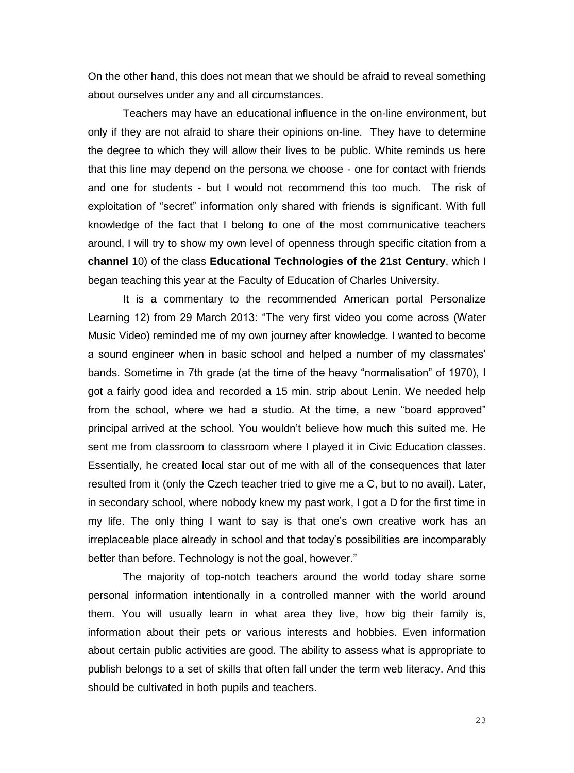On the other hand, this does not mean that we should be afraid to reveal something about ourselves under any and all circumstances.

Teachers may have an educational influence in the on-line environment, but only if they are not afraid to share their opinions on-line. They have to determine the degree to which they will allow their lives to be public. White reminds us here that this line may depend on the persona we choose - one for contact with friends and one for students - but I would not recommend this too much. The risk of exploitation of "secret" information only shared with friends is significant. With full knowledge of the fact that I belong to one of the most communicative teachers around, I will try to show my own level of openness through specific citation from a **channel** 10) of the class **Educational Technologies of the 21st Century**, which I began teaching this year at the Faculty of Education of Charles University.

It is a commentary to the recommended American portal Personalize Learning 12) from 29 March 2013: "The very first video you come across (Water Music Video) reminded me of my own journey after knowledge. I wanted to become a sound engineer when in basic school and helped a number of my classmates' bands. Sometime in 7th grade (at the time of the heavy "normalisation" of 1970), I got a fairly good idea and recorded a 15 min. strip about Lenin. We needed help from the school, where we had a studio. At the time, a new "board approved" principal arrived at the school. You wouldn't believe how much this suited me. He sent me from classroom to classroom where I played it in Civic Education classes. Essentially, he created local star out of me with all of the consequences that later resulted from it (only the Czech teacher tried to give me a C, but to no avail). Later, in secondary school, where nobody knew my past work, I got a D for the first time in my life. The only thing I want to say is that one's own creative work has an irreplaceable place already in school and that today's possibilities are incomparably better than before. Technology is not the goal, however."

The majority of top-notch teachers around the world today share some personal information intentionally in a controlled manner with the world around them. You will usually learn in what area they live, how big their family is, information about their pets or various interests and hobbies. Even information about certain public activities are good. The ability to assess what is appropriate to publish belongs to a set of skills that often fall under the term web literacy. And this should be cultivated in both pupils and teachers.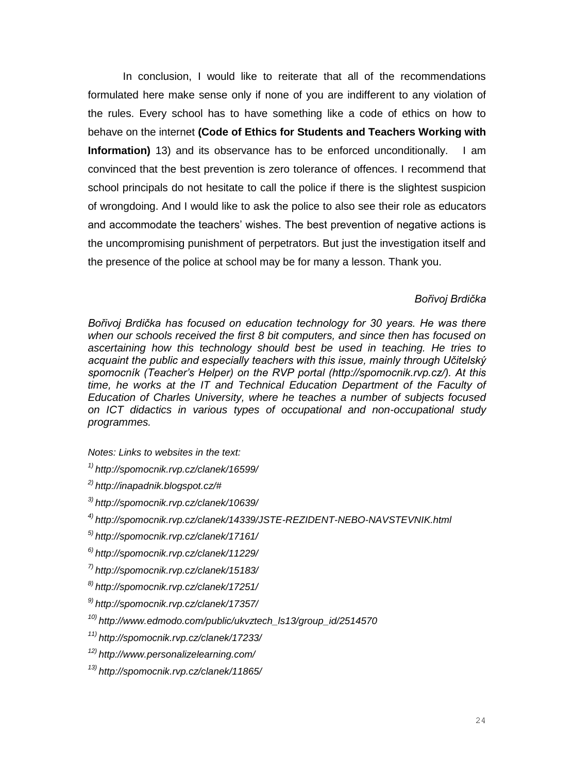In conclusion, I would like to reiterate that all of the recommendations formulated here make sense only if none of you are indifferent to any violation of the rules. Every school has to have something like a code of ethics on how to behave on the internet **(Code of Ethics for Students and Teachers Working with Information)** 13) and its observance has to be enforced unconditionally. I am convinced that the best prevention is zero tolerance of offences. I recommend that school principals do not hesitate to call the police if there is the slightest suspicion of wrongdoing. And I would like to ask the police to also see their role as educators and accommodate the teachers' wishes. The best prevention of negative actions is the uncompromising punishment of perpetrators. But just the investigation itself and the presence of the police at school may be for many a lesson. Thank you.

#### *Bořivoj Brdička*

*Bořivoj Brdička has focused on education technology for 30 years. He was there when our schools received the first 8 bit computers, and since then has focused on ascertaining how this technology should best be used in teaching. He tries to acquaint the public and especially teachers with this issue, mainly through Učitelský spomocník (Teacher's Helper) on the RVP portal (http://spomocnik.rvp.cz/). At this*  time, he works at the IT and Technical Education Department of the Faculty of *Education of Charles University, where he teaches a number of subjects focused on ICT didactics in various types of occupational and non-occupational study programmes.*

*Notes: Links to websites in the text:* 

- *1) http://spomocnik.rvp.cz/clanek/16599/*
- *2) http://inapadnik.blogspot.cz/#*
- *3) http://spomocnik.rvp.cz/clanek/10639/*
- *4) http://spomocnik.rvp.cz/clanek/14339/JSTE-REZIDENT-NEBO-NAVSTEVNIK.html*
- *5) http://spomocnik.rvp.cz/clanek/17161/*
- *6) http://spomocnik.rvp.cz/clanek/11229/*
- *7) http://spomocnik.rvp.cz/clanek/15183/*
- *8) http://spomocnik.rvp.cz/clanek/17251/*
- *9) http://spomocnik.rvp.cz/clanek/17357/*
- *10) http://www.edmodo.com/public/ukvztech\_ls13/group\_id/2514570*
- *11) http://spomocnik.rvp.cz/clanek/17233/*
- *12) http://www.personalizelearning.com/*
- *13) http://spomocnik.rvp.cz/clanek/11865/*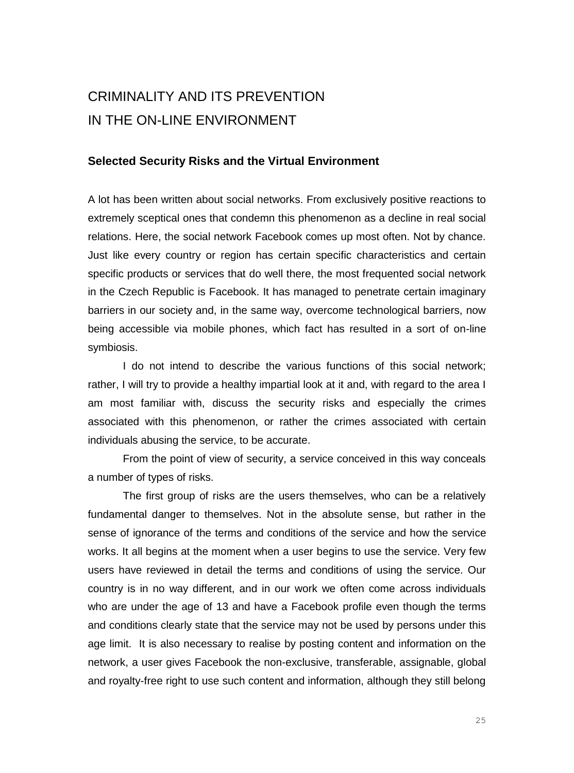# CRIMINALITY AND ITS PREVENTION IN THE ON-LINE ENVIRONMENT

#### **Selected Security Risks and the Virtual Environment**

A lot has been written about social networks. From exclusively positive reactions to extremely sceptical ones that condemn this phenomenon as a decline in real social relations. Here, the social network Facebook comes up most often. Not by chance. Just like every country or region has certain specific characteristics and certain specific products or services that do well there, the most frequented social network in the Czech Republic is Facebook. It has managed to penetrate certain imaginary barriers in our society and, in the same way, overcome technological barriers, now being accessible via mobile phones, which fact has resulted in a sort of on-line symbiosis.

I do not intend to describe the various functions of this social network; rather, I will try to provide a healthy impartial look at it and, with regard to the area I am most familiar with, discuss the security risks and especially the crimes associated with this phenomenon, or rather the crimes associated with certain individuals abusing the service, to be accurate.

From the point of view of security, a service conceived in this way conceals a number of types of risks.

The first group of risks are the users themselves, who can be a relatively fundamental danger to themselves. Not in the absolute sense, but rather in the sense of ignorance of the terms and conditions of the service and how the service works. It all begins at the moment when a user begins to use the service. Very few users have reviewed in detail the terms and conditions of using the service. Our country is in no way different, and in our work we often come across individuals who are under the age of 13 and have a Facebook profile even though the terms and conditions clearly state that the service may not be used by persons under this age limit. It is also necessary to realise by posting content and information on the network, a user gives Facebook the non-exclusive, transferable, assignable, global and royalty-free right to use such content and information, although they still belong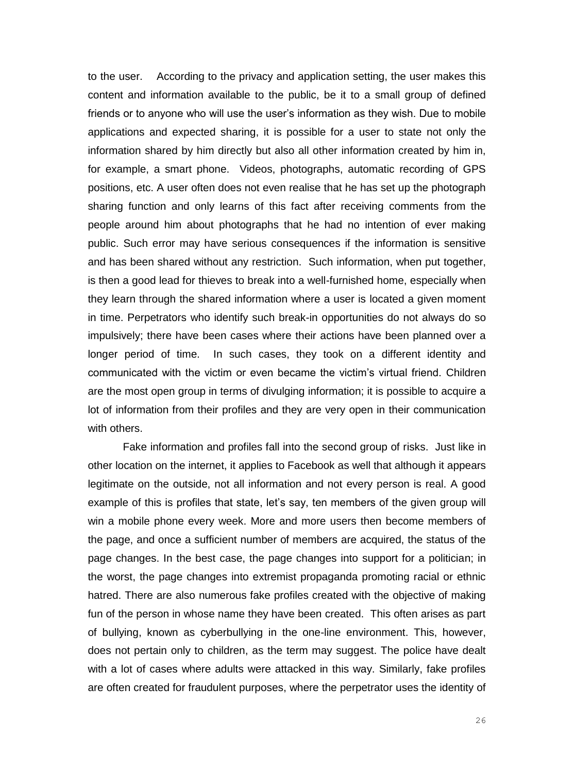to the user. According to the privacy and application setting, the user makes this content and information available to the public, be it to a small group of defined friends or to anyone who will use the user's information as they wish. Due to mobile applications and expected sharing, it is possible for a user to state not only the information shared by him directly but also all other information created by him in, for example, a smart phone. Videos, photographs, automatic recording of GPS positions, etc. A user often does not even realise that he has set up the photograph sharing function and only learns of this fact after receiving comments from the people around him about photographs that he had no intention of ever making public. Such error may have serious consequences if the information is sensitive and has been shared without any restriction. Such information, when put together, is then a good lead for thieves to break into a well-furnished home, especially when they learn through the shared information where a user is located a given moment in time. Perpetrators who identify such break-in opportunities do not always do so impulsively; there have been cases where their actions have been planned over a longer period of time. In such cases, they took on a different identity and communicated with the victim or even became the victim's virtual friend. Children are the most open group in terms of divulging information; it is possible to acquire a lot of information from their profiles and they are very open in their communication with others.

Fake information and profiles fall into the second group of risks. Just like in other location on the internet, it applies to Facebook as well that although it appears legitimate on the outside, not all information and not every person is real. A good example of this is profiles that state, let's say, ten members of the given group will win a mobile phone every week. More and more users then become members of the page, and once a sufficient number of members are acquired, the status of the page changes. In the best case, the page changes into support for a politician; in the worst, the page changes into extremist propaganda promoting racial or ethnic hatred. There are also numerous fake profiles created with the objective of making fun of the person in whose name they have been created. This often arises as part of bullying, known as cyberbullying in the one-line environment. This, however, does not pertain only to children, as the term may suggest. The police have dealt with a lot of cases where adults were attacked in this way. Similarly, fake profiles are often created for fraudulent purposes, where the perpetrator uses the identity of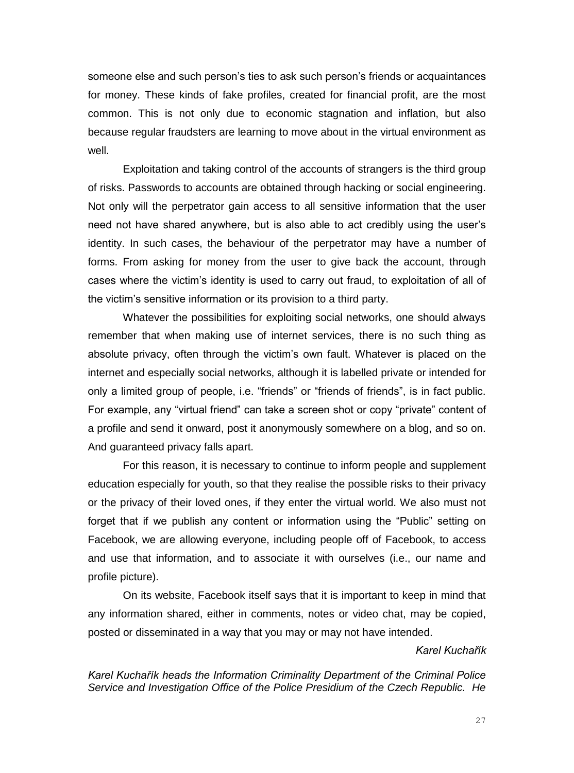someone else and such person's ties to ask such person's friends or acquaintances for money. These kinds of fake profiles, created for financial profit, are the most common. This is not only due to economic stagnation and inflation, but also because regular fraudsters are learning to move about in the virtual environment as well.

Exploitation and taking control of the accounts of strangers is the third group of risks. Passwords to accounts are obtained through hacking or social engineering. Not only will the perpetrator gain access to all sensitive information that the user need not have shared anywhere, but is also able to act credibly using the user's identity. In such cases, the behaviour of the perpetrator may have a number of forms. From asking for money from the user to give back the account, through cases where the victim's identity is used to carry out fraud, to exploitation of all of the victim's sensitive information or its provision to a third party.

Whatever the possibilities for exploiting social networks, one should always remember that when making use of internet services, there is no such thing as absolute privacy, often through the victim's own fault. Whatever is placed on the internet and especially social networks, although it is labelled private or intended for only a limited group of people, i.e. "friends" or "friends of friends", is in fact public. For example, any "virtual friend" can take a screen shot or copy "private" content of a profile and send it onward, post it anonymously somewhere on a blog, and so on. And guaranteed privacy falls apart.

For this reason, it is necessary to continue to inform people and supplement education especially for youth, so that they realise the possible risks to their privacy or the privacy of their loved ones, if they enter the virtual world. We also must not forget that if we publish any content or information using the "Public" setting on Facebook, we are allowing everyone, including people off of Facebook, to access and use that information, and to associate it with ourselves (i.e., our name and profile picture).

On its website, Facebook itself says that it is important to keep in mind that any information shared, either in comments, notes or video chat, may be copied, posted or disseminated in a way that you may or may not have intended.

#### *Karel Kuchařík*

*Karel Kuchařík heads the Information Criminality Department of the Criminal Police Service and Investigation Office of the Police Presidium of the Czech Republic. He*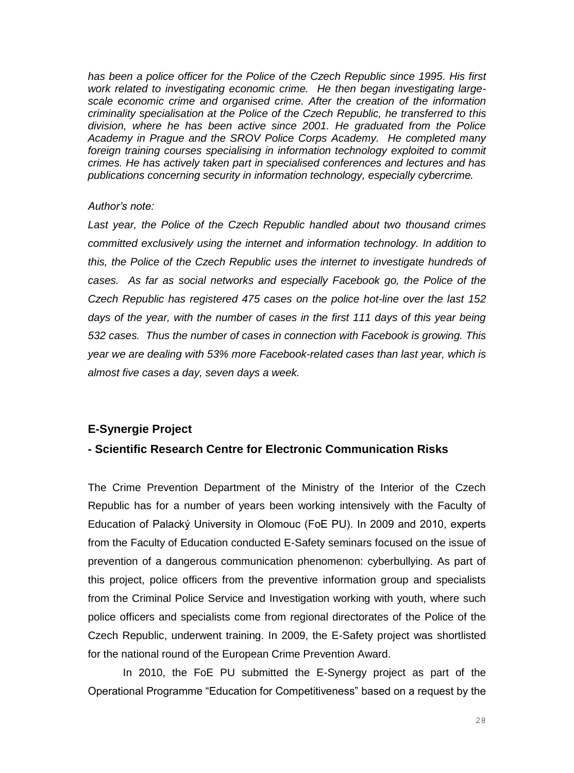*has been a police officer for the Police of the Czech Republic since 1995. His first work related to investigating economic crime. He then began investigating largescale economic crime and organised crime. After the creation of the information criminality specialisation at the Police of the Czech Republic, he transferred to this division, where he has been active since 2001. He graduated from the Police Academy in Prague and the SROV Police Corps Academy. He completed many foreign training courses specialising in information technology exploited to commit crimes. He has actively taken part in specialised conferences and lectures and has publications concerning security in information technology, especially cybercrime.*

#### *Author's note:*

*Last year, the Police of the Czech Republic handled about two thousand crimes committed exclusively using the internet and information technology. In addition to this, the Police of the Czech Republic uses the internet to investigate hundreds of cases. As far as social networks and especially Facebook go, the Police of the Czech Republic has registered 475 cases on the police hot-line over the last 152*  days of the year, with the number of cases in the first 111 days of this year being *532 cases. Thus the number of cases in connection with Facebook is growing. This year we are dealing with 53% more Facebook-related cases than last year, which is almost five cases a day, seven days a week.*

#### **E-Synergie Project**

#### **- Scientific Research Centre for Electronic Communication Risks**

The Crime Prevention Department of the Ministry of the Interior of the Czech Republic has for a number of years been working intensively with the Faculty of Education of Palacký University in Olomouc (FoE PU). In 2009 and 2010, experts from the Faculty of Education conducted E-Safety seminars focused on the issue of prevention of a dangerous communication phenomenon: cyberbullying. As part of this project, police officers from the preventive information group and specialists from the Criminal Police Service and Investigation working with youth, where such police officers and specialists come from regional directorates of the Police of the Czech Republic, underwent training. In 2009, the E-Safety project was shortlisted for the national round of the European Crime Prevention Award.

In 2010, the FoE PU submitted the E-Synergy project as part of the Operational Programme "Education for Competitiveness" based on a request by the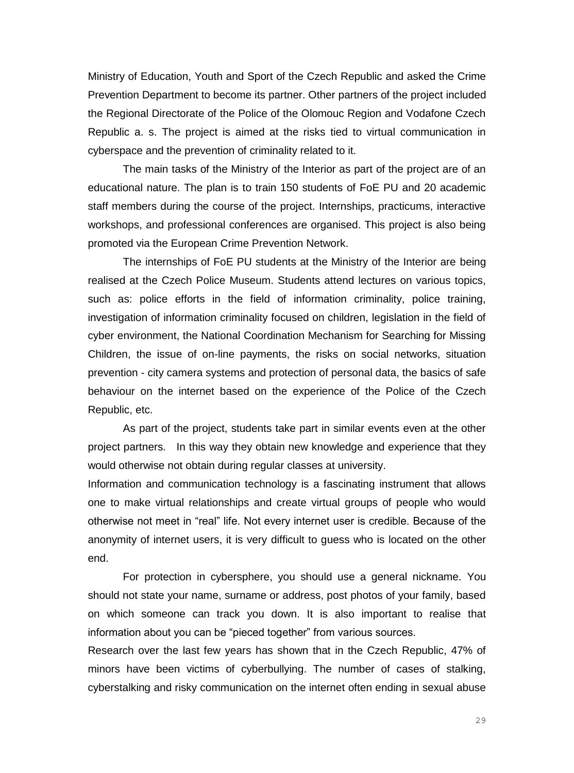Ministry of Education, Youth and Sport of the Czech Republic and asked the Crime Prevention Department to become its partner. Other partners of the project included the Regional Directorate of the Police of the Olomouc Region and Vodafone Czech Republic a. s. The project is aimed at the risks tied to virtual communication in cyberspace and the prevention of criminality related to it.

The main tasks of the Ministry of the Interior as part of the project are of an educational nature. The plan is to train 150 students of FoE PU and 20 academic staff members during the course of the project. Internships, practicums, interactive workshops, and professional conferences are organised. This project is also being promoted via the European Crime Prevention Network.

The internships of FoE PU students at the Ministry of the Interior are being realised at the Czech Police Museum. Students attend lectures on various topics, such as: police efforts in the field of information criminality, police training, investigation of information criminality focused on children, legislation in the field of cyber environment, the National Coordination Mechanism for Searching for Missing Children, the issue of on-line payments, the risks on social networks, situation prevention - city camera systems and protection of personal data, the basics of safe behaviour on the internet based on the experience of the Police of the Czech Republic, etc.

As part of the project, students take part in similar events even at the other project partners. In this way they obtain new knowledge and experience that they would otherwise not obtain during regular classes at university.

Information and communication technology is a fascinating instrument that allows one to make virtual relationships and create virtual groups of people who would otherwise not meet in "real" life. Not every internet user is credible. Because of the anonymity of internet users, it is very difficult to guess who is located on the other end.

For protection in cybersphere, you should use a general nickname. You should not state your name, surname or address, post photos of your family, based on which someone can track you down. It is also important to realise that information about you can be "pieced together" from various sources.

Research over the last few years has shown that in the Czech Republic, 47% of minors have been victims of cyberbullying. The number of cases of stalking, cyberstalking and risky communication on the internet often ending in sexual abuse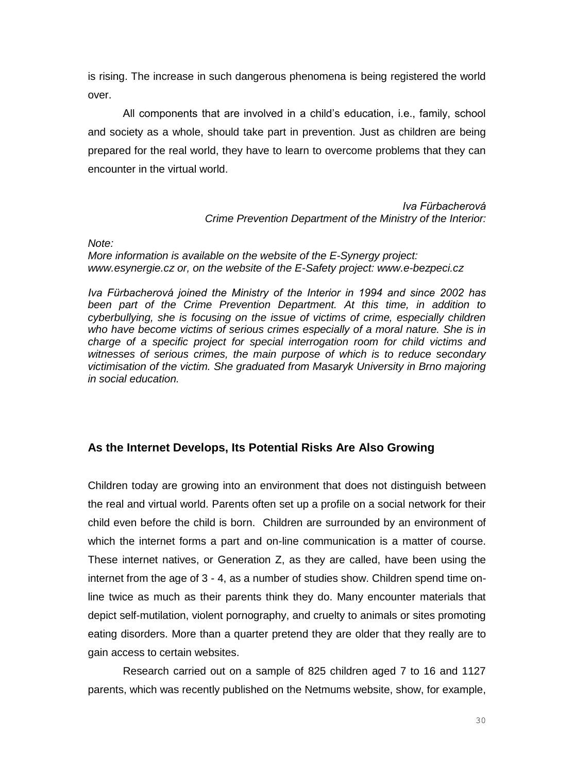is rising. The increase in such dangerous phenomena is being registered the world over.

All components that are involved in a child's education, i.e., family, school and society as a whole, should take part in prevention. Just as children are being prepared for the real world, they have to learn to overcome problems that they can encounter in the virtual world.

> *Iva Fürbacherová Crime Prevention Department of the Ministry of the Interior:*

*Note:* 

*More information is available on the website of the E-Synergy project: www.esynergie.cz or, on the website of the E-Safety project: www.e-bezpeci.cz*

*Iva Fürbacherová joined the Ministry of the Interior in 1994 and since 2002 has been part of the Crime Prevention Department. At this time, in addition to cyberbullying, she is focusing on the issue of victims of crime, especially children who have become victims of serious crimes especially of a moral nature. She is in charge of a specific project for special interrogation room for child victims and witnesses of serious crimes, the main purpose of which is to reduce secondary victimisation of the victim. She graduated from Masaryk University in Brno majoring in social education.*

## **As the Internet Develops, Its Potential Risks Are Also Growing**

Children today are growing into an environment that does not distinguish between the real and virtual world. Parents often set up a profile on a social network for their child even before the child is born. Children are surrounded by an environment of which the internet forms a part and on-line communication is a matter of course. These internet natives, or Generation Z, as they are called, have been using the internet from the age of 3 - 4, as a number of studies show. Children spend time online twice as much as their parents think they do. Many encounter materials that depict self-mutilation, violent pornography, and cruelty to animals or sites promoting eating disorders. More than a quarter pretend they are older that they really are to gain access to certain websites.

Research carried out on a sample of 825 children aged 7 to 16 and 1127 parents, which was recently published on the Netmums website, show, for example,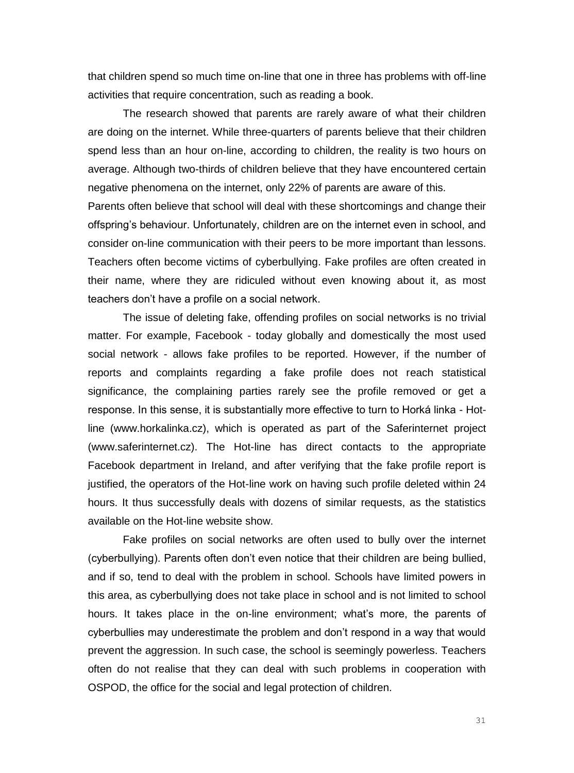that children spend so much time on-line that one in three has problems with off-line activities that require concentration, such as reading a book.

The research showed that parents are rarely aware of what their children are doing on the internet. While three-quarters of parents believe that their children spend less than an hour on-line, according to children, the reality is two hours on average. Although two-thirds of children believe that they have encountered certain negative phenomena on the internet, only 22% of parents are aware of this.

Parents often believe that school will deal with these shortcomings and change their offspring's behaviour. Unfortunately, children are on the internet even in school, and consider on-line communication with their peers to be more important than lessons. Teachers often become victims of cyberbullying. Fake profiles are often created in their name, where they are ridiculed without even knowing about it, as most teachers don't have a profile on a social network.

The issue of deleting fake, offending profiles on social networks is no trivial matter. For example, Facebook - today globally and domestically the most used social network - allows fake profiles to be reported. However, if the number of reports and complaints regarding a fake profile does not reach statistical significance, the complaining parties rarely see the profile removed or get a response. In this sense, it is substantially more effective to turn to Horká linka - Hotline (www.horkalinka.cz), which is operated as part of the Saferinternet project (www.saferinternet.cz). The Hot-line has direct contacts to the appropriate Facebook department in Ireland, and after verifying that the fake profile report is justified, the operators of the Hot-line work on having such profile deleted within 24 hours. It thus successfully deals with dozens of similar requests, as the statistics available on the Hot-line website show.

Fake profiles on social networks are often used to bully over the internet (cyberbullying). Parents often don't even notice that their children are being bullied, and if so, tend to deal with the problem in school. Schools have limited powers in this area, as cyberbullying does not take place in school and is not limited to school hours. It takes place in the on-line environment; what's more, the parents of cyberbullies may underestimate the problem and don't respond in a way that would prevent the aggression. In such case, the school is seemingly powerless. Teachers often do not realise that they can deal with such problems in cooperation with OSPOD, the office for the social and legal protection of children.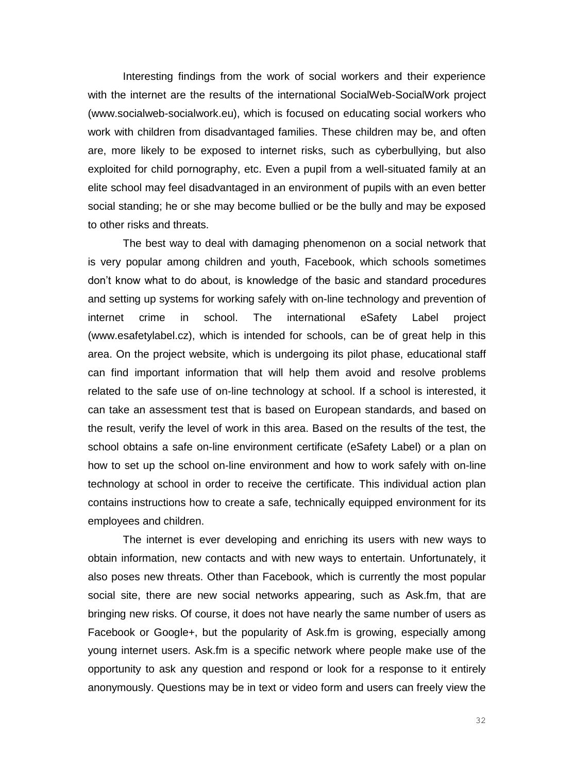Interesting findings from the work of social workers and their experience with the internet are the results of the international SocialWeb-SocialWork project (www.socialweb-socialwork.eu), which is focused on educating social workers who work with children from disadvantaged families. These children may be, and often are, more likely to be exposed to internet risks, such as cyberbullying, but also exploited for child pornography, etc. Even a pupil from a well-situated family at an elite school may feel disadvantaged in an environment of pupils with an even better social standing; he or she may become bullied or be the bully and may be exposed to other risks and threats.

The best way to deal with damaging phenomenon on a social network that is very popular among children and youth, Facebook, which schools sometimes don't know what to do about, is knowledge of the basic and standard procedures and setting up systems for working safely with on-line technology and prevention of internet crime in school. The international eSafety Label project (www.esafetylabel.cz), which is intended for schools, can be of great help in this area. On the project website, which is undergoing its pilot phase, educational staff can find important information that will help them avoid and resolve problems related to the safe use of on-line technology at school. If a school is interested, it can take an assessment test that is based on European standards, and based on the result, verify the level of work in this area. Based on the results of the test, the school obtains a safe on-line environment certificate (eSafety Label) or a plan on how to set up the school on-line environment and how to work safely with on-line technology at school in order to receive the certificate. This individual action plan contains instructions how to create a safe, technically equipped environment for its employees and children.

The internet is ever developing and enriching its users with new ways to obtain information, new contacts and with new ways to entertain. Unfortunately, it also poses new threats. Other than Facebook, which is currently the most popular social site, there are new social networks appearing, such as Ask.fm, that are bringing new risks. Of course, it does not have nearly the same number of users as Facebook or Google+, but the popularity of Ask.fm is growing, especially among young internet users. Ask.fm is a specific network where people make use of the opportunity to ask any question and respond or look for a response to it entirely anonymously. Questions may be in text or video form and users can freely view the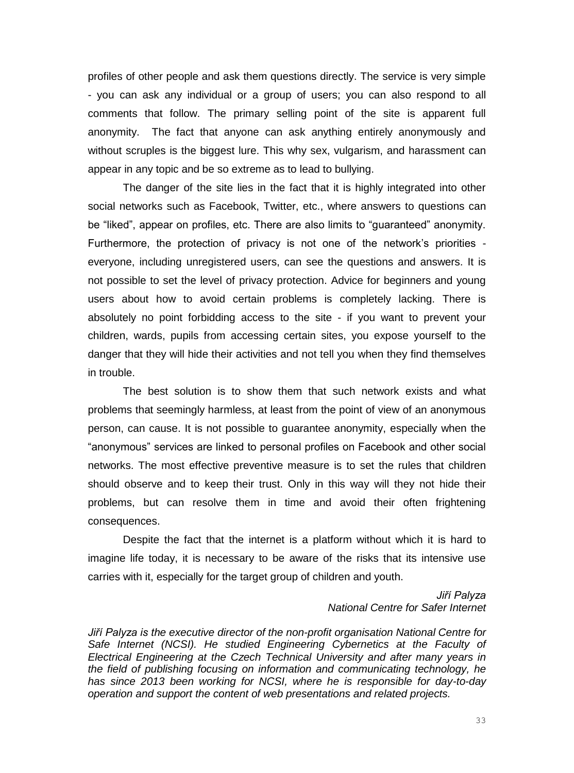profiles of other people and ask them questions directly. The service is very simple - you can ask any individual or a group of users; you can also respond to all comments that follow. The primary selling point of the site is apparent full anonymity. The fact that anyone can ask anything entirely anonymously and without scruples is the biggest lure. This why sex, vulgarism, and harassment can appear in any topic and be so extreme as to lead to bullying.

The danger of the site lies in the fact that it is highly integrated into other social networks such as Facebook, Twitter, etc., where answers to questions can be "liked", appear on profiles, etc. There are also limits to "guaranteed" anonymity. Furthermore, the protection of privacy is not one of the network's priorities everyone, including unregistered users, can see the questions and answers. It is not possible to set the level of privacy protection. Advice for beginners and young users about how to avoid certain problems is completely lacking. There is absolutely no point forbidding access to the site - if you want to prevent your children, wards, pupils from accessing certain sites, you expose yourself to the danger that they will hide their activities and not tell you when they find themselves in trouble.

The best solution is to show them that such network exists and what problems that seemingly harmless, at least from the point of view of an anonymous person, can cause. It is not possible to guarantee anonymity, especially when the "anonymous" services are linked to personal profiles on Facebook and other social networks. The most effective preventive measure is to set the rules that children should observe and to keep their trust. Only in this way will they not hide their problems, but can resolve them in time and avoid their often frightening consequences.

Despite the fact that the internet is a platform without which it is hard to imagine life today, it is necessary to be aware of the risks that its intensive use carries with it, especially for the target group of children and youth.

> *Jiří Palyza National Centre for Safer Internet*

*Jiří Palyza is the executive director of the non-profit organisation National Centre for*  Safe Internet (NCSI). He studied Engineering Cybernetics at the Faculty of *Electrical Engineering at the Czech Technical University and after many years in the field of publishing focusing on information and communicating technology, he has since 2013 been working for NCSI, where he is responsible for day-to-day operation and support the content of web presentations and related projects.*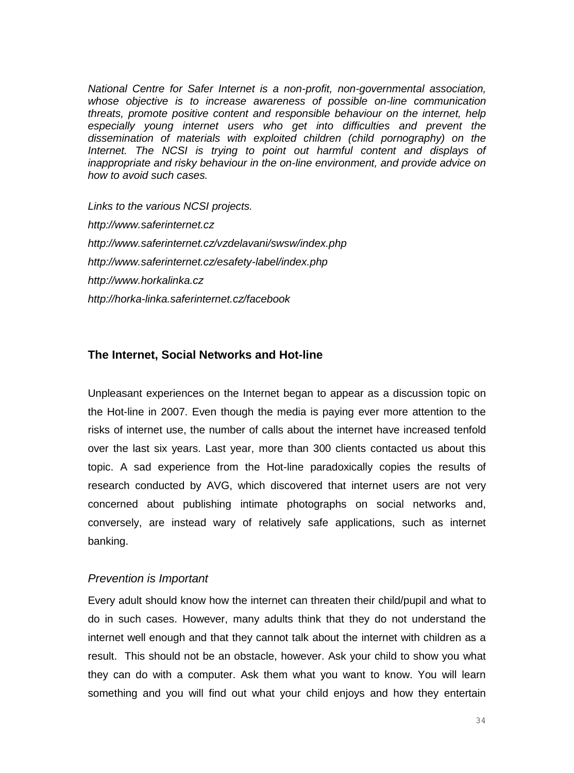*National Centre for Safer Internet is a non-profit, non-governmental association, whose objective is to increase awareness of possible on-line communication threats, promote positive content and responsible behaviour on the internet, help especially young internet users who get into difficulties and prevent the dissemination of materials with exploited children (child pornography) on the Internet. The NCSI is trying to point out harmful content and displays of inappropriate and risky behaviour in the on-line environment, and provide advice on how to avoid such cases.*

*Links to the various NCSI projects. http://www.saferinternet.cz http://www.saferinternet.cz/vzdelavani/swsw/index.php http://www.saferinternet.cz/esafety-label/index.php http://www.horkalinka.cz http://horka-linka.saferinternet.cz/facebook*

#### **The Internet, Social Networks and Hot-line**

Unpleasant experiences on the Internet began to appear as a discussion topic on the Hot-line in 2007. Even though the media is paying ever more attention to the risks of internet use, the number of calls about the internet have increased tenfold over the last six years. Last year, more than 300 clients contacted us about this topic. A sad experience from the Hot-line paradoxically copies the results of research conducted by AVG, which discovered that internet users are not very concerned about publishing intimate photographs on social networks and, conversely, are instead wary of relatively safe applications, such as internet banking.

#### *Prevention is Important*

Every adult should know how the internet can threaten their child/pupil and what to do in such cases. However, many adults think that they do not understand the internet well enough and that they cannot talk about the internet with children as a result. This should not be an obstacle, however. Ask your child to show you what they can do with a computer. Ask them what you want to know. You will learn something and you will find out what your child enjoys and how they entertain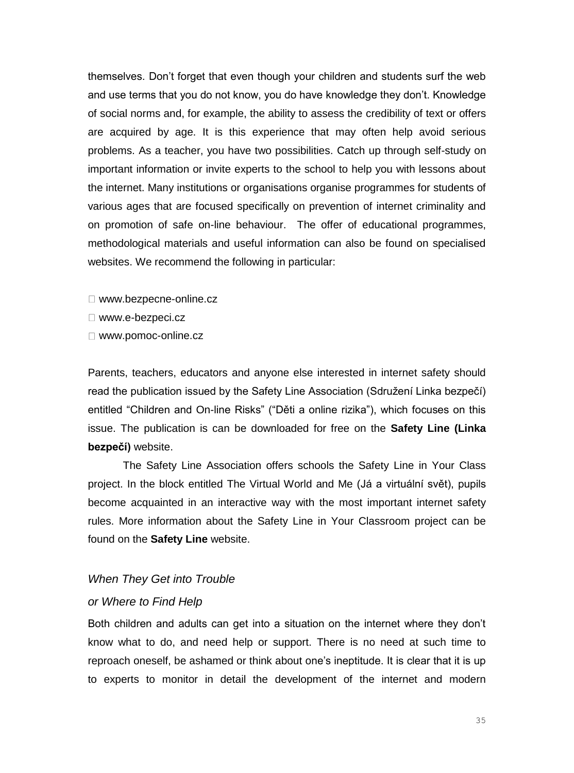themselves. Don't forget that even though your children and students surf the web and use terms that you do not know, you do have knowledge they don't. Knowledge of social norms and, for example, the ability to assess the credibility of text or offers are acquired by age. It is this experience that may often help avoid serious problems. As a teacher, you have two possibilities. Catch up through self-study on important information or invite experts to the school to help you with lessons about the internet. Many institutions or organisations organise programmes for students of various ages that are focused specifically on prevention of internet criminality and on promotion of safe on-line behaviour. The offer of educational programmes, methodological materials and useful information can also be found on specialised websites. We recommend the following in particular:

- □ www.bezpecne-online.cz
- www.e-bezpeci.cz
- www.pomoc-online.cz

Parents, teachers, educators and anyone else interested in internet safety should read the publication issued by the Safety Line Association (Sdružení Linka bezpečí) entitled "Children and On-line Risks" ("Děti a online rizika"), which focuses on this issue. The publication is can be downloaded for free on the **Safety Line (Linka bezpečí)** website.

The Safety Line Association offers schools the Safety Line in Your Class project. In the block entitled The Virtual World and Me (Já a virtuální svět), pupils become acquainted in an interactive way with the most important internet safety rules. More information about the Safety Line in Your Classroom project can be found on the **Safety Line** website.

#### *When They Get into Trouble*

#### *or Where to Find Help*

Both children and adults can get into a situation on the internet where they don't know what to do, and need help or support. There is no need at such time to reproach oneself, be ashamed or think about one's ineptitude. It is clear that it is up to experts to monitor in detail the development of the internet and modern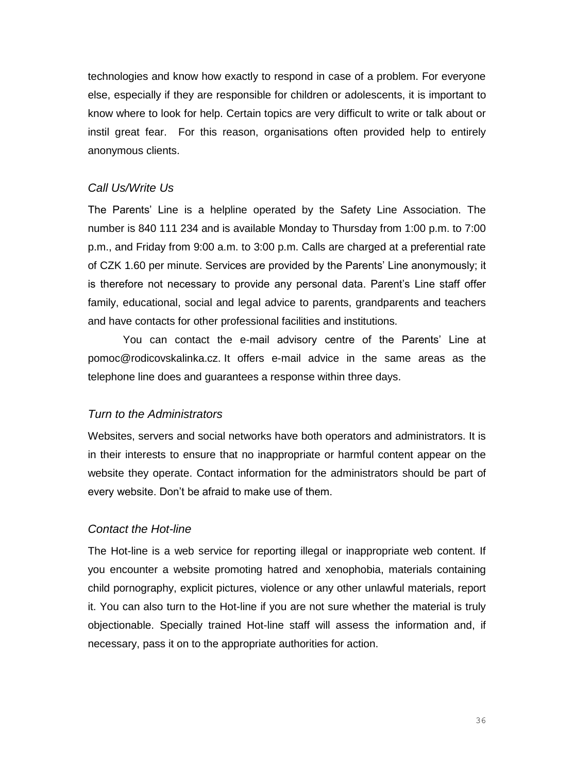technologies and know how exactly to respond in case of a problem. For everyone else, especially if they are responsible for children or adolescents, it is important to know where to look for help. Certain topics are very difficult to write or talk about or instil great fear. For this reason, organisations often provided help to entirely anonymous clients.

## *Call Us/Write Us*

The Parents' Line is a helpline operated by the Safety Line Association. The number is 840 111 234 and is available Monday to Thursday from 1:00 p.m. to 7:00 p.m., and Friday from 9:00 a.m. to 3:00 p.m. Calls are charged at a preferential rate of CZK 1.60 per minute. Services are provided by the Parents' Line anonymously; it is therefore not necessary to provide any personal data. Parent's Line staff offer family, educational, social and legal advice to parents, grandparents and teachers and have contacts for other professional facilities and institutions.

You can contact the e-mail advisory centre of the Parents' Line at pomoc@rodicovskalinka.cz. It offers e-mail advice in the same areas as the telephone line does and guarantees a response within three days.

## *Turn to the Administrators*

Websites, servers and social networks have both operators and administrators. It is in their interests to ensure that no inappropriate or harmful content appear on the website they operate. Contact information for the administrators should be part of every website. Don't be afraid to make use of them.

## *Contact the Hot-line*

The Hot-line is a web service for reporting illegal or inappropriate web content. If you encounter a website promoting hatred and xenophobia, materials containing child pornography, explicit pictures, violence or any other unlawful materials, report it. You can also turn to the Hot-line if you are not sure whether the material is truly objectionable. Specially trained Hot-line staff will assess the information and, if necessary, pass it on to the appropriate authorities for action.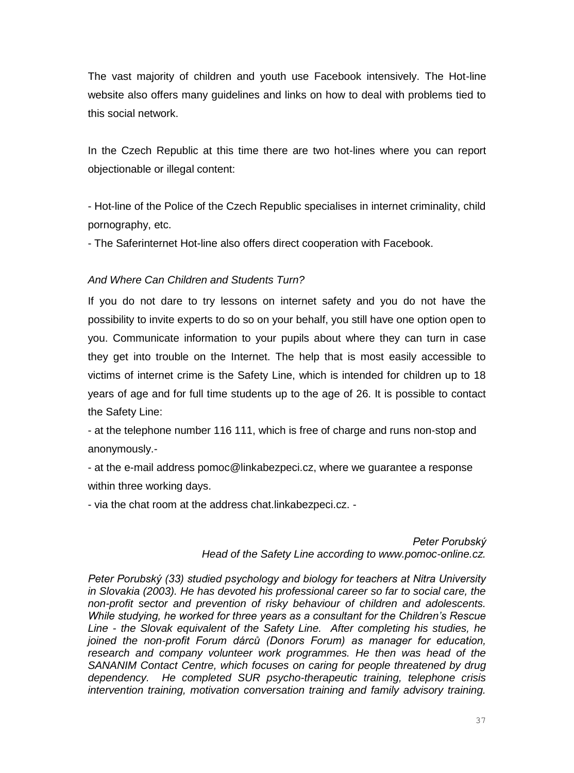The vast majority of children and youth use Facebook intensively. The Hot-line website also offers many guidelines and links on how to deal with problems tied to this social network.

In the Czech Republic at this time there are two hot-lines where you can report objectionable or illegal content:

- Hot-line of the Police of the Czech Republic specialises in internet criminality, child pornography, etc.

- The Saferinternet Hot-line also offers direct cooperation with Facebook.

## *And Where Can Children and Students Turn?*

If you do not dare to try lessons on internet safety and you do not have the possibility to invite experts to do so on your behalf, you still have one option open to you. Communicate information to your pupils about where they can turn in case they get into trouble on the Internet. The help that is most easily accessible to victims of internet crime is the Safety Line, which is intended for children up to 18 years of age and for full time students up to the age of 26. It is possible to contact the Safety Line:

- at the telephone number 116 111, which is free of charge and runs non-stop and anonymously.-

- at the e-mail address pomoc@linkabezpeci.cz, where we guarantee a response within three working days.

- via the chat room at the address chat.linkabezpeci.cz. -

*Peter Porubský Head of the Safety Line according to www.pomoc-online.cz.*

*Peter Porubský (33) studied psychology and biology for teachers at Nitra University in Slovakia (2003). He has devoted his professional career so far to social care, the non-profit sector and prevention of risky behaviour of children and adolescents. While studying, he worked for three years as a consultant for the Children's Rescue Line - the Slovak equivalent of the Safety Line. After completing his studies, he joined the non-profit Forum dárců (Donors Forum) as manager for education, research and company volunteer work programmes. He then was head of the SANANIM Contact Centre, which focuses on caring for people threatened by drug dependency. He completed SUR psycho-therapeutic training, telephone crisis intervention training, motivation conversation training and family advisory training.*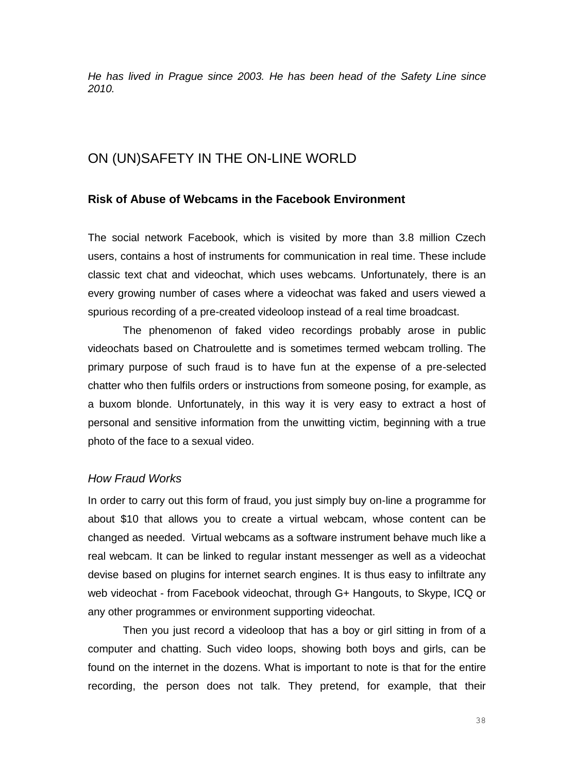*He has lived in Prague since 2003. He has been head of the Safety Line since 2010.* 

## ON (UN)SAFETY IN THE ON-LINE WORLD

#### **Risk of Abuse of Webcams in the Facebook Environment**

The social network Facebook, which is visited by more than 3.8 million Czech users, contains a host of instruments for communication in real time. These include classic text chat and videochat, which uses webcams. Unfortunately, there is an every growing number of cases where a videochat was faked and users viewed a spurious recording of a pre-created videoloop instead of a real time broadcast.

The phenomenon of faked video recordings probably arose in public videochats based on Chatroulette and is sometimes termed webcam trolling. The primary purpose of such fraud is to have fun at the expense of a pre-selected chatter who then fulfils orders or instructions from someone posing, for example, as a buxom blonde. Unfortunately, in this way it is very easy to extract a host of personal and sensitive information from the unwitting victim, beginning with a true photo of the face to a sexual video.

#### *How Fraud Works*

In order to carry out this form of fraud, you just simply buy on-line a programme for about \$10 that allows you to create a virtual webcam, whose content can be changed as needed. Virtual webcams as a software instrument behave much like a real webcam. It can be linked to regular instant messenger as well as a videochat devise based on plugins for internet search engines. It is thus easy to infiltrate any web videochat - from Facebook videochat, through G+ Hangouts, to Skype, ICQ or any other programmes or environment supporting videochat.

Then you just record a videoloop that has a boy or girl sitting in from of a computer and chatting. Such video loops, showing both boys and girls, can be found on the internet in the dozens. What is important to note is that for the entire recording, the person does not talk. They pretend, for example, that their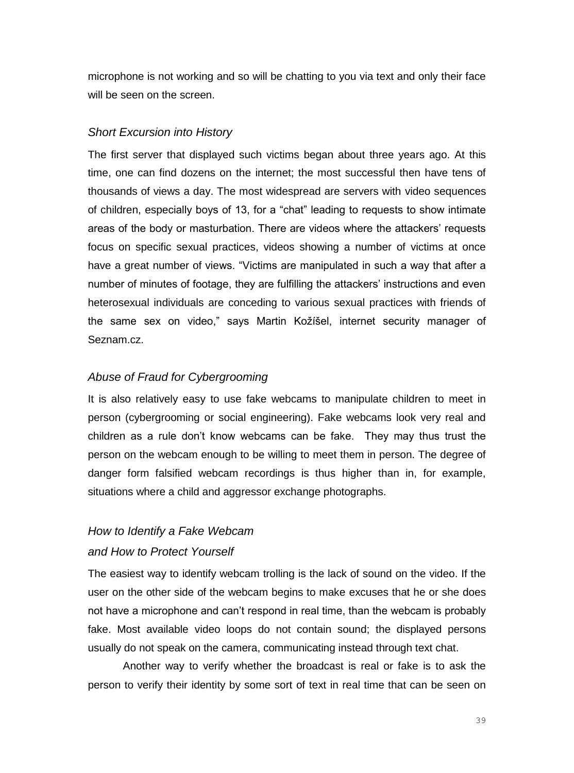microphone is not working and so will be chatting to you via text and only their face will be seen on the screen.

#### *Short Excursion into History*

The first server that displayed such victims began about three years ago. At this time, one can find dozens on the internet; the most successful then have tens of thousands of views a day. The most widespread are servers with video sequences of children, especially boys of 13, for a "chat" leading to requests to show intimate areas of the body or masturbation. There are videos where the attackers' requests focus on specific sexual practices, videos showing a number of victims at once have a great number of views. "Victims are manipulated in such a way that after a number of minutes of footage, they are fulfilling the attackers' instructions and even heterosexual individuals are conceding to various sexual practices with friends of the same sex on video," says Martin Kožíšel, internet security manager of Seznam.cz.

#### *Abuse of Fraud for Cybergrooming*

It is also relatively easy to use fake webcams to manipulate children to meet in person (cybergrooming or social engineering). Fake webcams look very real and children as a rule don't know webcams can be fake. They may thus trust the person on the webcam enough to be willing to meet them in person. The degree of danger form falsified webcam recordings is thus higher than in, for example, situations where a child and aggressor exchange photographs.

## *How to Identify a Fake Webcam*

#### *and How to Protect Yourself*

The easiest way to identify webcam trolling is the lack of sound on the video. If the user on the other side of the webcam begins to make excuses that he or she does not have a microphone and can't respond in real time, than the webcam is probably fake. Most available video loops do not contain sound; the displayed persons usually do not speak on the camera, communicating instead through text chat.

Another way to verify whether the broadcast is real or fake is to ask the person to verify their identity by some sort of text in real time that can be seen on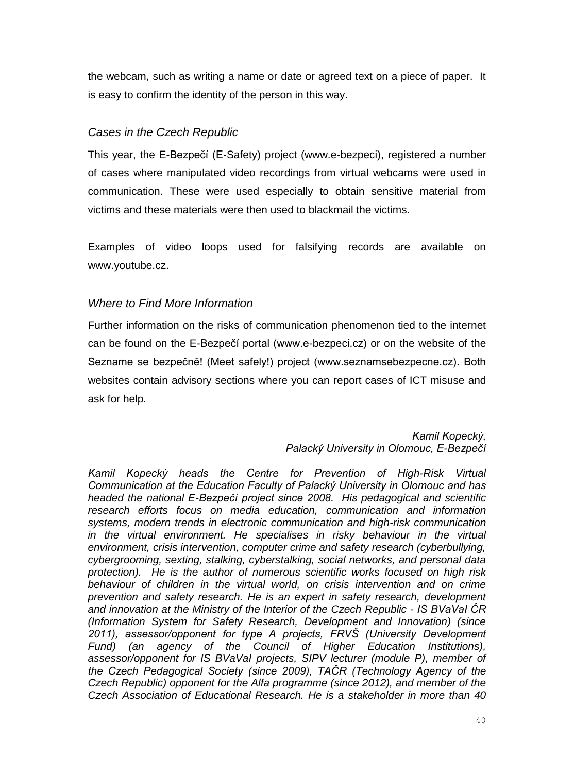the webcam, such as writing a name or date or agreed text on a piece of paper. It is easy to confirm the identity of the person in this way.

## *Cases in the Czech Republic*

This year, the E-Bezpečí (E-Safety) project (www.e-bezpeci), registered a number of cases where manipulated video recordings from virtual webcams were used in communication. These were used especially to obtain sensitive material from victims and these materials were then used to blackmail the victims.

Examples of video loops used for falsifying records are available on www.youtube.cz.

## *Where to Find More Information*

Further information on the risks of communication phenomenon tied to the internet can be found on the E-Bezpečí portal (www.e-bezpeci.cz) or on the website of the Sezname se bezpečně! (Meet safely!) project (www.seznamsebezpecne.cz). Both websites contain advisory sections where you can report cases of ICT misuse and ask for help.

## *Kamil Kopecký, Palacký University in Olomouc, E-Bezpečí*

*Kamil Kopecký heads the Centre for Prevention of High-Risk Virtual Communication at the Education Faculty of Palacký University in Olomouc and has headed the national E-Bezpečí project since 2008. His pedagogical and scientific research efforts focus on media education, communication and information systems, modern trends in electronic communication and high-risk communication in the virtual environment. He specialises in risky behaviour in the virtual environment, crisis intervention, computer crime and safety research (cyberbullying, cybergrooming, sexting, stalking, cyberstalking, social networks, and personal data protection). He is the author of numerous scientific works focused on high risk behaviour of children in the virtual world, on crisis intervention and on crime prevention and safety research. He is an expert in safety research, development and innovation at the Ministry of the Interior of the Czech Republic - IS BVaVaI ČR (Information System for Safety Research, Development and Innovation) (since 2011), assessor/opponent for type A projects, FRVŠ (University Development Fund) (an agency of the Council of Higher Education Institutions), assessor/opponent for IS BVaVaI projects, SIPV lecturer (module P), member of the Czech Pedagogical Society (since 2009), TAČR (Technology Agency of the Czech Republic) opponent for the Alfa programme (since 2012), and member of the Czech Association of Educational Research. He is a stakeholder in more than 40*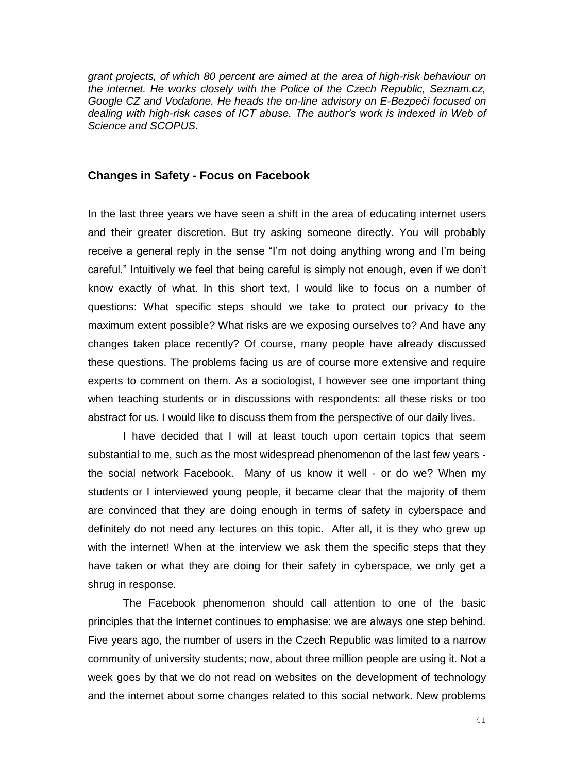*grant projects, of which 80 percent are aimed at the area of high-risk behaviour on the internet. He works closely with the Police of the Czech Republic, Seznam.cz, Google CZ and Vodafone. He heads the on-line advisory on E-Bezpečí focused on dealing with high-risk cases of ICT abuse. The author's work is indexed in Web of Science and SCOPUS.*

#### **Changes in Safety - Focus on Facebook**

In the last three years we have seen a shift in the area of educating internet users and their greater discretion. But try asking someone directly. You will probably receive a general reply in the sense "I'm not doing anything wrong and I'm being careful." Intuitively we feel that being careful is simply not enough, even if we don't know exactly of what. In this short text, I would like to focus on a number of questions: What specific steps should we take to protect our privacy to the maximum extent possible? What risks are we exposing ourselves to? And have any changes taken place recently? Of course, many people have already discussed these questions. The problems facing us are of course more extensive and require experts to comment on them. As a sociologist, I however see one important thing when teaching students or in discussions with respondents: all these risks or too abstract for us. I would like to discuss them from the perspective of our daily lives.

I have decided that I will at least touch upon certain topics that seem substantial to me, such as the most widespread phenomenon of the last few years the social network Facebook. Many of us know it well - or do we? When my students or I interviewed young people, it became clear that the majority of them are convinced that they are doing enough in terms of safety in cyberspace and definitely do not need any lectures on this topic. After all, it is they who grew up with the internet! When at the interview we ask them the specific steps that they have taken or what they are doing for their safety in cyberspace, we only get a shrug in response.

The Facebook phenomenon should call attention to one of the basic principles that the Internet continues to emphasise: we are always one step behind. Five years ago, the number of users in the Czech Republic was limited to a narrow community of university students; now, about three million people are using it. Not a week goes by that we do not read on websites on the development of technology and the internet about some changes related to this social network. New problems

41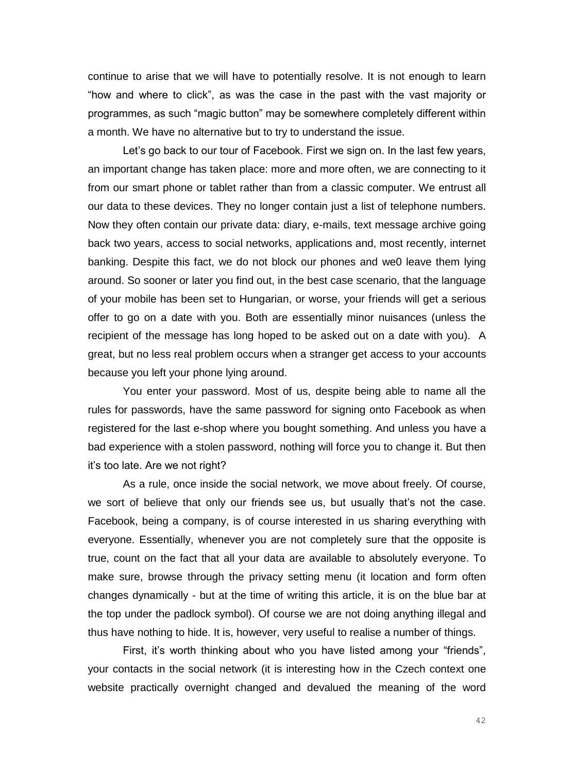continue to arise that we will have to potentially resolve. It is not enough to learn "how and where to click", as was the case in the past with the vast majority or programmes, as such "magic button" may be somewhere completely different within a month. We have no alternative but to try to understand the issue.

Let's go back to our tour of Facebook. First we sign on. In the last few years, an important change has taken place: more and more often, we are connecting to it from our smart phone or tablet rather than from a classic computer. We entrust all our data to these devices. They no longer contain just a list of telephone numbers. Now they often contain our private data: diary, e-mails, text message archive going back two years, access to social networks, applications and, most recently, internet banking. Despite this fact, we do not block our phones and we0 leave them lying around. So sooner or later you find out, in the best case scenario, that the language of your mobile has been set to Hungarian, or worse, your friends will get a serious offer to go on a date with you. Both are essentially minor nuisances (unless the recipient of the message has long hoped to be asked out on a date with you). A great, but no less real problem occurs when a stranger get access to your accounts because you left your phone lying around.

You enter your password. Most of us, despite being able to name all the rules for passwords, have the same password for signing onto Facebook as when registered for the last e-shop where you bought something. And unless you have a bad experience with a stolen password, nothing will force you to change it. But then it's too late. Are we not right?

As a rule, once inside the social network, we move about freely. Of course, we sort of believe that only our friends see us, but usually that's not the case. Facebook, being a company, is of course interested in us sharing everything with everyone. Essentially, whenever you are not completely sure that the opposite is true, count on the fact that all your data are available to absolutely everyone. To make sure, browse through the privacy setting menu (it location and form often changes dynamically - but at the time of writing this article, it is on the blue bar at the top under the padlock symbol). Of course we are not doing anything illegal and thus have nothing to hide. It is, however, very useful to realise a number of things.

First, it's worth thinking about who you have listed among your "friends", your contacts in the social network (it is interesting how in the Czech context one website practically overnight changed and devalued the meaning of the word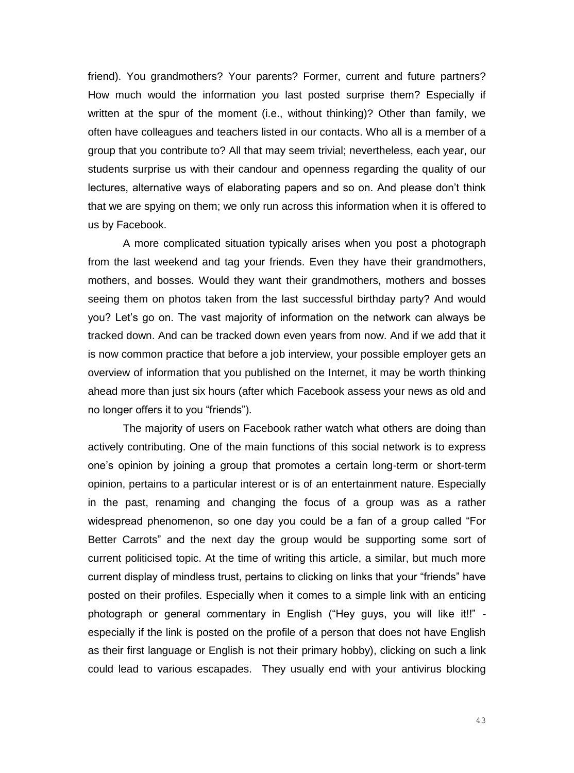friend). You grandmothers? Your parents? Former, current and future partners? How much would the information you last posted surprise them? Especially if written at the spur of the moment (i.e., without thinking)? Other than family, we often have colleagues and teachers listed in our contacts. Who all is a member of a group that you contribute to? All that may seem trivial; nevertheless, each year, our students surprise us with their candour and openness regarding the quality of our lectures, alternative ways of elaborating papers and so on. And please don't think that we are spying on them; we only run across this information when it is offered to us by Facebook.

A more complicated situation typically arises when you post a photograph from the last weekend and tag your friends. Even they have their grandmothers, mothers, and bosses. Would they want their grandmothers, mothers and bosses seeing them on photos taken from the last successful birthday party? And would you? Let's go on. The vast majority of information on the network can always be tracked down. And can be tracked down even years from now. And if we add that it is now common practice that before a job interview, your possible employer gets an overview of information that you published on the Internet, it may be worth thinking ahead more than just six hours (after which Facebook assess your news as old and no longer offers it to you "friends").

The majority of users on Facebook rather watch what others are doing than actively contributing. One of the main functions of this social network is to express one's opinion by joining a group that promotes a certain long-term or short-term opinion, pertains to a particular interest or is of an entertainment nature. Especially in the past, renaming and changing the focus of a group was as a rather widespread phenomenon, so one day you could be a fan of a group called "For Better Carrots" and the next day the group would be supporting some sort of current politicised topic. At the time of writing this article, a similar, but much more current display of mindless trust, pertains to clicking on links that your "friends" have posted on their profiles. Especially when it comes to a simple link with an enticing photograph or general commentary in English ("Hey guys, you will like it!!" especially if the link is posted on the profile of a person that does not have English as their first language or English is not their primary hobby), clicking on such a link could lead to various escapades. They usually end with your antivirus blocking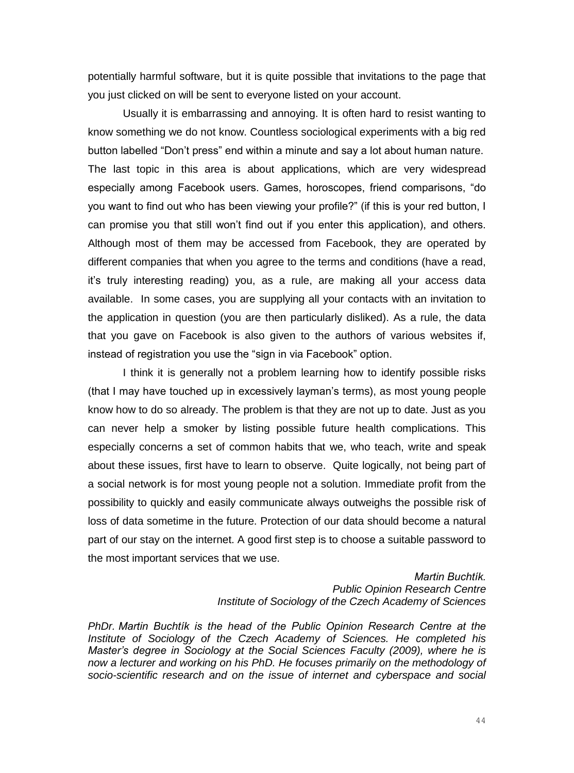potentially harmful software, but it is quite possible that invitations to the page that you just clicked on will be sent to everyone listed on your account.

Usually it is embarrassing and annoying. It is often hard to resist wanting to know something we do not know. Countless sociological experiments with a big red button labelled "Don't press" end within a minute and say a lot about human nature. The last topic in this area is about applications, which are very widespread especially among Facebook users. Games, horoscopes, friend comparisons, "do you want to find out who has been viewing your profile?" (if this is your red button, I can promise you that still won't find out if you enter this application), and others. Although most of them may be accessed from Facebook, they are operated by different companies that when you agree to the terms and conditions (have a read, it's truly interesting reading) you, as a rule, are making all your access data available. In some cases, you are supplying all your contacts with an invitation to the application in question (you are then particularly disliked). As a rule, the data that you gave on Facebook is also given to the authors of various websites if, instead of registration you use the "sign in via Facebook" option.

I think it is generally not a problem learning how to identify possible risks (that I may have touched up in excessively layman's terms), as most young people know how to do so already. The problem is that they are not up to date. Just as you can never help a smoker by listing possible future health complications. This especially concerns a set of common habits that we, who teach, write and speak about these issues, first have to learn to observe. Quite logically, not being part of a social network is for most young people not a solution. Immediate profit from the possibility to quickly and easily communicate always outweighs the possible risk of loss of data sometime in the future. Protection of our data should become a natural part of our stay on the internet. A good first step is to choose a suitable password to the most important services that we use.

> *Martin Buchtík. Public Opinion Research Centre Institute of Sociology of the Czech Academy of Sciences*

*PhDr. Martin Buchtík is the head of the Public Opinion Research Centre at the Institute of Sociology of the Czech Academy of Sciences. He completed his Master's degree in Sociology at the Social Sciences Faculty (2009), where he is now a lecturer and working on his PhD. He focuses primarily on the methodology of socio-scientific research and on the issue of internet and cyberspace and social*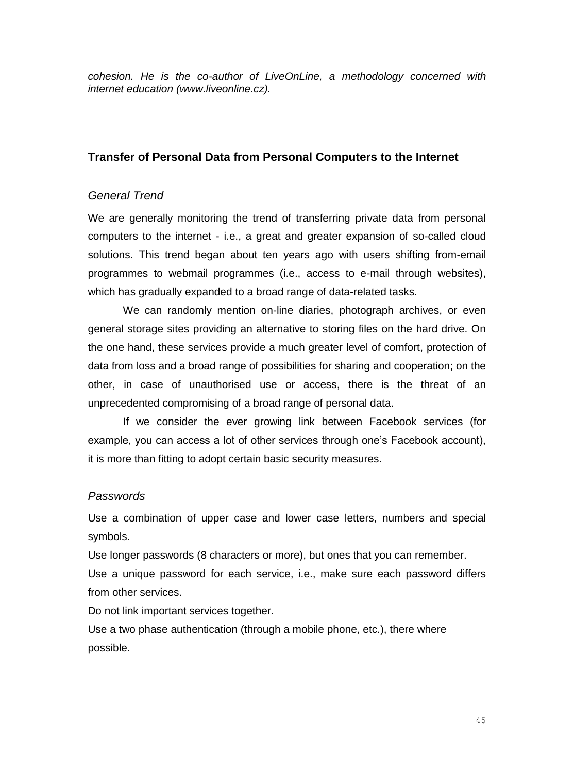*cohesion. He is the co-author of LiveOnLine, a methodology concerned with internet education (www.liveonline.cz).*

#### **Transfer of Personal Data from Personal Computers to the Internet**

## *General Trend*

We are generally monitoring the trend of transferring private data from personal computers to the internet - i.e., a great and greater expansion of so-called cloud solutions. This trend began about ten years ago with users shifting from-email programmes to webmail programmes (i.e., access to e-mail through websites), which has gradually expanded to a broad range of data-related tasks.

We can randomly mention on-line diaries, photograph archives, or even general storage sites providing an alternative to storing files on the hard drive. On the one hand, these services provide a much greater level of comfort, protection of data from loss and a broad range of possibilities for sharing and cooperation; on the other, in case of unauthorised use or access, there is the threat of an unprecedented compromising of a broad range of personal data.

If we consider the ever growing link between Facebook services (for example, you can access a lot of other services through one's Facebook account), it is more than fitting to adopt certain basic security measures.

#### *Passwords*

Use a combination of upper case and lower case letters, numbers and special symbols.

Use longer passwords (8 characters or more), but ones that you can remember. Use a unique password for each service, i.e., make sure each password differs from other services.

Do not link important services together.

Use a two phase authentication (through a mobile phone, etc.), there where possible.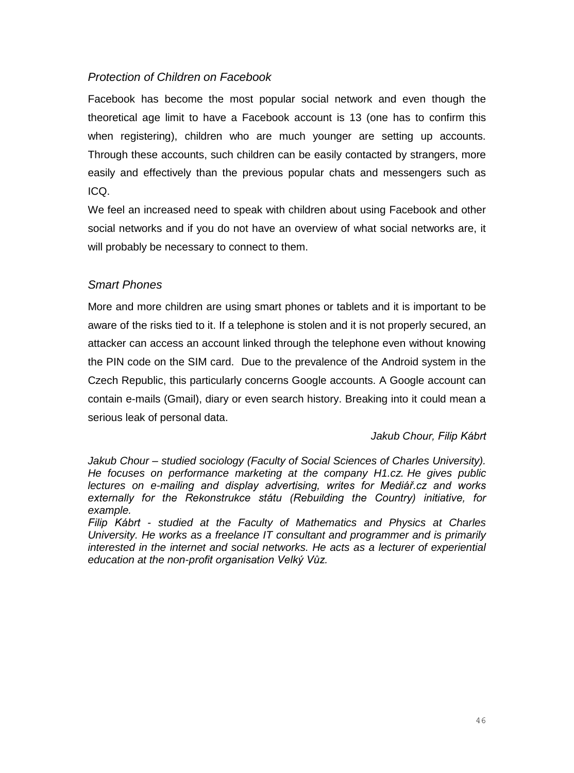## *Protection of Children on Facebook*

Facebook has become the most popular social network and even though the theoretical age limit to have a Facebook account is 13 (one has to confirm this when registering), children who are much younger are setting up accounts. Through these accounts, such children can be easily contacted by strangers, more easily and effectively than the previous popular chats and messengers such as ICQ.

We feel an increased need to speak with children about using Facebook and other social networks and if you do not have an overview of what social networks are, it will probably be necessary to connect to them.

## *Smart Phones*

More and more children are using smart phones or tablets and it is important to be aware of the risks tied to it. If a telephone is stolen and it is not properly secured, an attacker can access an account linked through the telephone even without knowing the PIN code on the SIM card. Due to the prevalence of the Android system in the Czech Republic, this particularly concerns Google accounts. A Google account can contain e-mails (Gmail), diary or even search history. Breaking into it could mean a serious leak of personal data.

## *Jakub Chour, Filip Kábrt*

*Jakub Chour – studied sociology (Faculty of Social Sciences of Charles University). He focuses on performance marketing at the company H1.cz. He gives public lectures on e-mailing and display advertising, writes for Mediář.cz and works externally for the Rekonstrukce státu (Rebuilding the Country) initiative, for example.*

*Filip Kábrt - studied at the Faculty of Mathematics and Physics at Charles University. He works as a freelance IT consultant and programmer and is primarily interested in the internet and social networks. He acts as a lecturer of experiential education at the non-profit organisation Velký Vůz.*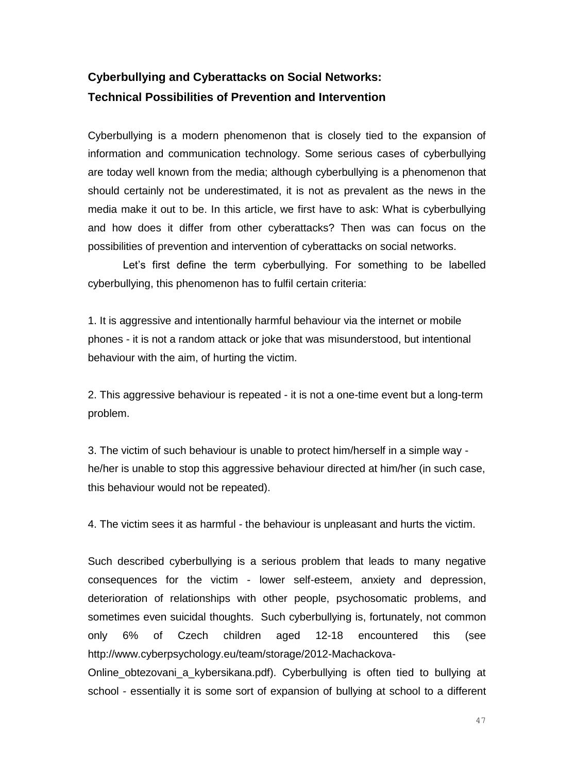## **Cyberbullying and Cyberattacks on Social Networks: Technical Possibilities of Prevention and Intervention**

Cyberbullying is a modern phenomenon that is closely tied to the expansion of information and communication technology. Some serious cases of cyberbullying are today well known from the media; although cyberbullying is a phenomenon that should certainly not be underestimated, it is not as prevalent as the news in the media make it out to be. In this article, we first have to ask: What is cyberbullying and how does it differ from other cyberattacks? Then was can focus on the possibilities of prevention and intervention of cyberattacks on social networks.

Let's first define the term cyberbullying. For something to be labelled cyberbullying, this phenomenon has to fulfil certain criteria:

1. It is aggressive and intentionally harmful behaviour via the internet or mobile phones - it is not a random attack or joke that was misunderstood, but intentional behaviour with the aim, of hurting the victim.

2. This aggressive behaviour is repeated - it is not a one-time event but a long-term problem.

3. The victim of such behaviour is unable to protect him/herself in a simple way he/her is unable to stop this aggressive behaviour directed at him/her (in such case, this behaviour would not be repeated).

4. The victim sees it as harmful - the behaviour is unpleasant and hurts the victim.

Such described cyberbullying is a serious problem that leads to many negative consequences for the victim - lower self-esteem, anxiety and depression, deterioration of relationships with other people, psychosomatic problems, and sometimes even suicidal thoughts. Such cyberbullying is, fortunately, not common only 6% of Czech children aged 12-18 encountered this (see http://www.cyberpsychology.eu/team/storage/2012-Machackova-

Online obtezovani a kybersikana.pdf). Cyberbullying is often tied to bullying at school - essentially it is some sort of expansion of bullying at school to a different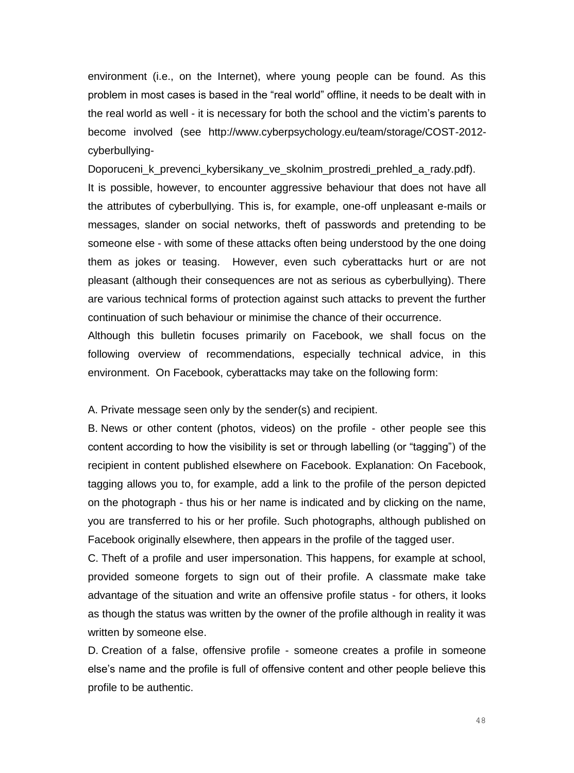environment (i.e., on the Internet), where young people can be found. As this problem in most cases is based in the "real world" offline, it needs to be dealt with in the real world as well - it is necessary for both the school and the victim's parents to become involved (see http://www.cyberpsychology.eu/team/storage/COST-2012 cyberbullying-

Doporuceni k prevenci kybersikany ve skolnim prostredi prehled a rady.pdf). It is possible, however, to encounter aggressive behaviour that does not have all the attributes of cyberbullying. This is, for example, one-off unpleasant e-mails or messages, slander on social networks, theft of passwords and pretending to be someone else - with some of these attacks often being understood by the one doing them as jokes or teasing. However, even such cyberattacks hurt or are not pleasant (although their consequences are not as serious as cyberbullying). There are various technical forms of protection against such attacks to prevent the further continuation of such behaviour or minimise the chance of their occurrence.

Although this bulletin focuses primarily on Facebook, we shall focus on the following overview of recommendations, especially technical advice, in this environment. On Facebook, cyberattacks may take on the following form:

A. Private message seen only by the sender(s) and recipient.

B. News or other content (photos, videos) on the profile - other people see this content according to how the visibility is set or through labelling (or "tagging") of the recipient in content published elsewhere on Facebook. Explanation: On Facebook, tagging allows you to, for example, add a link to the profile of the person depicted on the photograph - thus his or her name is indicated and by clicking on the name, you are transferred to his or her profile. Such photographs, although published on Facebook originally elsewhere, then appears in the profile of the tagged user.

C. Theft of a profile and user impersonation. This happens, for example at school, provided someone forgets to sign out of their profile. A classmate make take advantage of the situation and write an offensive profile status - for others, it looks as though the status was written by the owner of the profile although in reality it was written by someone else.

D. Creation of a false, offensive profile - someone creates a profile in someone else's name and the profile is full of offensive content and other people believe this profile to be authentic.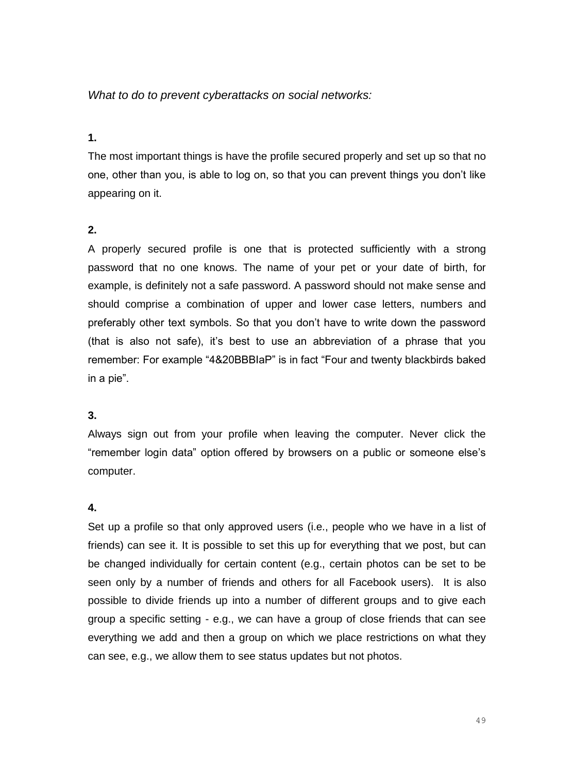*What to do to prevent cyberattacks on social networks:* 

#### **1.**

The most important things is have the profile secured properly and set up so that no one, other than you, is able to log on, so that you can prevent things you don't like appearing on it.

## **2.**

A properly secured profile is one that is protected sufficiently with a strong password that no one knows. The name of your pet or your date of birth, for example, is definitely not a safe password. A password should not make sense and should comprise a combination of upper and lower case letters, numbers and preferably other text symbols. So that you don't have to write down the password (that is also not safe), it's best to use an abbreviation of a phrase that you remember: For example "4&20BBBIaP" is in fact "Four and twenty blackbirds baked in a pie".

## **3.**

Always sign out from your profile when leaving the computer. Never click the "remember login data" option offered by browsers on a public or someone else's computer.

## **4.**

Set up a profile so that only approved users (i.e., people who we have in a list of friends) can see it. It is possible to set this up for everything that we post, but can be changed individually for certain content (e.g., certain photos can be set to be seen only by a number of friends and others for all Facebook users). It is also possible to divide friends up into a number of different groups and to give each group a specific setting - e.g., we can have a group of close friends that can see everything we add and then a group on which we place restrictions on what they can see, e.g., we allow them to see status updates but not photos.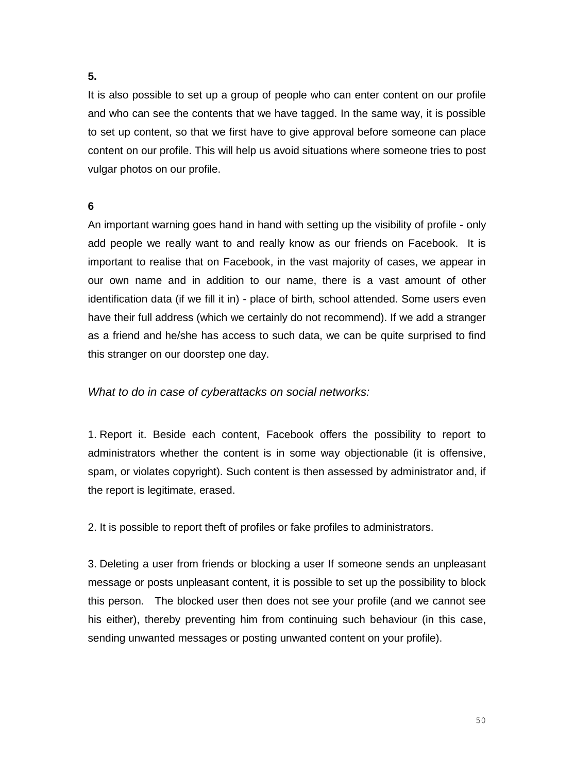## **5.**

It is also possible to set up a group of people who can enter content on our profile and who can see the contents that we have tagged. In the same way, it is possible to set up content, so that we first have to give approval before someone can place content on our profile. This will help us avoid situations where someone tries to post vulgar photos on our profile.

## **6**

An important warning goes hand in hand with setting up the visibility of profile - only add people we really want to and really know as our friends on Facebook. It is important to realise that on Facebook, in the vast majority of cases, we appear in our own name and in addition to our name, there is a vast amount of other identification data (if we fill it in) - place of birth, school attended. Some users even have their full address (which we certainly do not recommend). If we add a stranger as a friend and he/she has access to such data, we can be quite surprised to find this stranger on our doorstep one day.

## *What to do in case of cyberattacks on social networks:*

1. Report it. Beside each content, Facebook offers the possibility to report to administrators whether the content is in some way objectionable (it is offensive, spam, or violates copyright). Such content is then assessed by administrator and, if the report is legitimate, erased.

2. It is possible to report theft of profiles or fake profiles to administrators.

3. Deleting a user from friends or blocking a user If someone sends an unpleasant message or posts unpleasant content, it is possible to set up the possibility to block this person. The blocked user then does not see your profile (and we cannot see his either), thereby preventing him from continuing such behaviour (in this case, sending unwanted messages or posting unwanted content on your profile).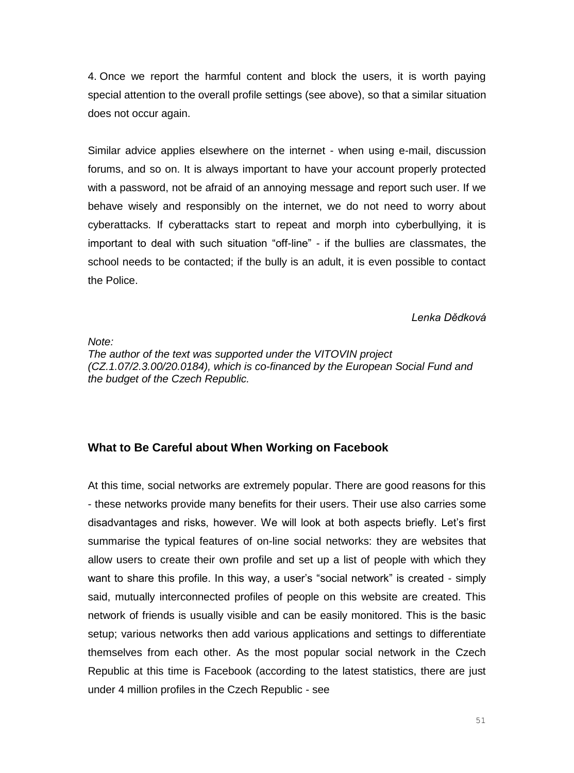4. Once we report the harmful content and block the users, it is worth paying special attention to the overall profile settings (see above), so that a similar situation does not occur again.

Similar advice applies elsewhere on the internet - when using e-mail, discussion forums, and so on. It is always important to have your account properly protected with a password, not be afraid of an annoying message and report such user. If we behave wisely and responsibly on the internet, we do not need to worry about cyberattacks. If cyberattacks start to repeat and morph into cyberbullying, it is important to deal with such situation "off-line" - if the bullies are classmates, the school needs to be contacted; if the bully is an adult, it is even possible to contact the Police.

*Lenka Dědková*

*Note:*

*The author of the text was supported under the VITOVIN project (CZ.1.07/2.3.00/20.0184), which is co-financed by the European Social Fund and the budget of the Czech Republic.*

## **What to Be Careful about When Working on Facebook**

At this time, social networks are extremely popular. There are good reasons for this - these networks provide many benefits for their users. Their use also carries some disadvantages and risks, however. We will look at both aspects briefly. Let's first summarise the typical features of on-line social networks: they are websites that allow users to create their own profile and set up a list of people with which they want to share this profile. In this way, a user's "social network" is created - simply said, mutually interconnected profiles of people on this website are created. This network of friends is usually visible and can be easily monitored. This is the basic setup; various networks then add various applications and settings to differentiate themselves from each other. As the most popular social network in the Czech Republic at this time is Facebook (according to the latest statistics, there are just under 4 million profiles in the Czech Republic - see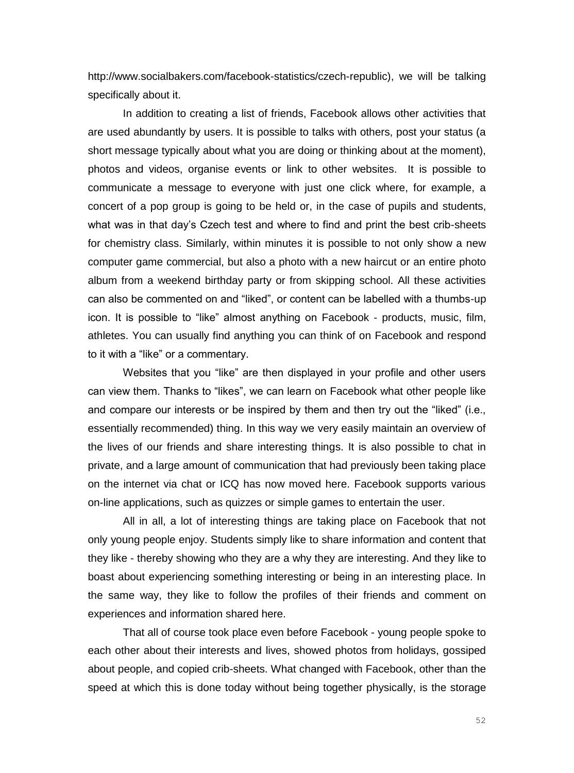http://www.socialbakers.com/facebook-statistics/czech-republic), we will be talking specifically about it.

In addition to creating a list of friends, Facebook allows other activities that are used abundantly by users. It is possible to talks with others, post your status (a short message typically about what you are doing or thinking about at the moment), photos and videos, organise events or link to other websites. It is possible to communicate a message to everyone with just one click where, for example, a concert of a pop group is going to be held or, in the case of pupils and students, what was in that day's Czech test and where to find and print the best crib-sheets for chemistry class. Similarly, within minutes it is possible to not only show a new computer game commercial, but also a photo with a new haircut or an entire photo album from a weekend birthday party or from skipping school. All these activities can also be commented on and "liked", or content can be labelled with a thumbs-up icon. It is possible to "like" almost anything on Facebook - products, music, film, athletes. You can usually find anything you can think of on Facebook and respond to it with a "like" or a commentary.

Websites that you "like" are then displayed in your profile and other users can view them. Thanks to "likes", we can learn on Facebook what other people like and compare our interests or be inspired by them and then try out the "liked" (i.e., essentially recommended) thing. In this way we very easily maintain an overview of the lives of our friends and share interesting things. It is also possible to chat in private, and a large amount of communication that had previously been taking place on the internet via chat or ICQ has now moved here. Facebook supports various on-line applications, such as quizzes or simple games to entertain the user.

All in all, a lot of interesting things are taking place on Facebook that not only young people enjoy. Students simply like to share information and content that they like - thereby showing who they are a why they are interesting. And they like to boast about experiencing something interesting or being in an interesting place. In the same way, they like to follow the profiles of their friends and comment on experiences and information shared here.

That all of course took place even before Facebook - young people spoke to each other about their interests and lives, showed photos from holidays, gossiped about people, and copied crib-sheets. What changed with Facebook, other than the speed at which this is done today without being together physically, is the storage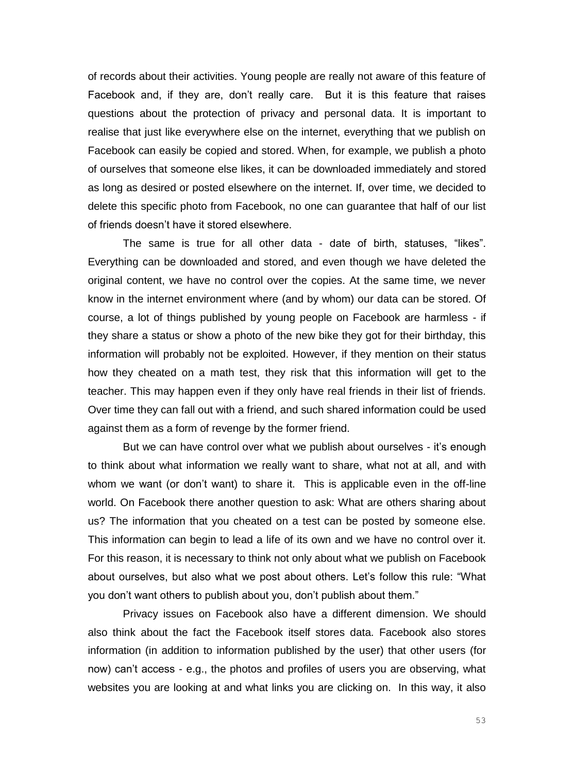of records about their activities. Young people are really not aware of this feature of Facebook and, if they are, don't really care. But it is this feature that raises questions about the protection of privacy and personal data. It is important to realise that just like everywhere else on the internet, everything that we publish on Facebook can easily be copied and stored. When, for example, we publish a photo of ourselves that someone else likes, it can be downloaded immediately and stored as long as desired or posted elsewhere on the internet. If, over time, we decided to delete this specific photo from Facebook, no one can guarantee that half of our list of friends doesn't have it stored elsewhere.

The same is true for all other data - date of birth, statuses, "likes". Everything can be downloaded and stored, and even though we have deleted the original content, we have no control over the copies. At the same time, we never know in the internet environment where (and by whom) our data can be stored. Of course, a lot of things published by young people on Facebook are harmless - if they share a status or show a photo of the new bike they got for their birthday, this information will probably not be exploited. However, if they mention on their status how they cheated on a math test, they risk that this information will get to the teacher. This may happen even if they only have real friends in their list of friends. Over time they can fall out with a friend, and such shared information could be used against them as a form of revenge by the former friend.

But we can have control over what we publish about ourselves - it's enough to think about what information we really want to share, what not at all, and with whom we want (or don't want) to share it. This is applicable even in the off-line world. On Facebook there another question to ask: What are others sharing about us? The information that you cheated on a test can be posted by someone else. This information can begin to lead a life of its own and we have no control over it. For this reason, it is necessary to think not only about what we publish on Facebook about ourselves, but also what we post about others. Let's follow this rule: "What you don't want others to publish about you, don't publish about them."

Privacy issues on Facebook also have a different dimension. We should also think about the fact the Facebook itself stores data. Facebook also stores information (in addition to information published by the user) that other users (for now) can't access - e.g., the photos and profiles of users you are observing, what websites you are looking at and what links you are clicking on. In this way, it also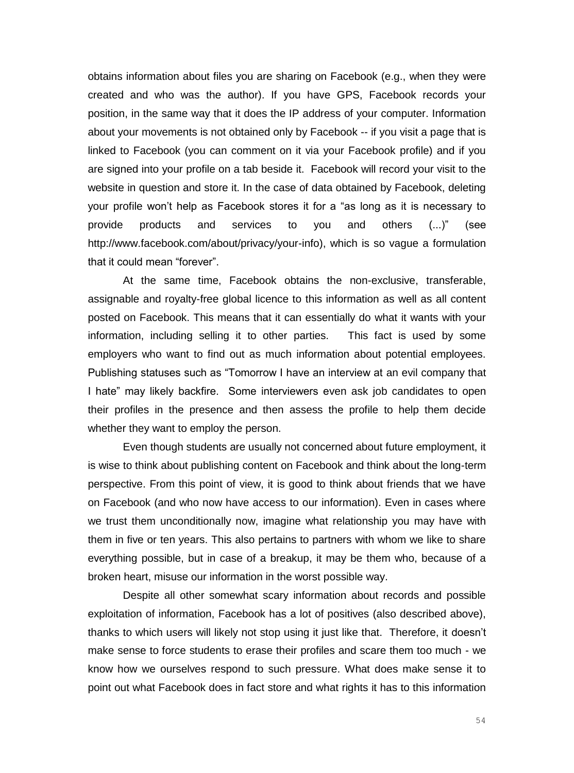obtains information about files you are sharing on Facebook (e.g., when they were created and who was the author). If you have GPS, Facebook records your position, in the same way that it does the IP address of your computer. Information about your movements is not obtained only by Facebook -- if you visit a page that is linked to Facebook (you can comment on it via your Facebook profile) and if you are signed into your profile on a tab beside it. Facebook will record your visit to the website in question and store it. In the case of data obtained by Facebook, deleting your profile won't help as Facebook stores it for a "as long as it is necessary to provide products and services to you and others (...)" (see http://www.facebook.com/about/privacy/your-info), which is so vague a formulation that it could mean "forever".

At the same time, Facebook obtains the non-exclusive, transferable, assignable and royalty-free global licence to this information as well as all content posted on Facebook. This means that it can essentially do what it wants with your information, including selling it to other parties. This fact is used by some employers who want to find out as much information about potential employees. Publishing statuses such as "Tomorrow I have an interview at an evil company that I hate" may likely backfire. Some interviewers even ask job candidates to open their profiles in the presence and then assess the profile to help them decide whether they want to employ the person.

Even though students are usually not concerned about future employment, it is wise to think about publishing content on Facebook and think about the long-term perspective. From this point of view, it is good to think about friends that we have on Facebook (and who now have access to our information). Even in cases where we trust them unconditionally now, imagine what relationship you may have with them in five or ten years. This also pertains to partners with whom we like to share everything possible, but in case of a breakup, it may be them who, because of a broken heart, misuse our information in the worst possible way.

Despite all other somewhat scary information about records and possible exploitation of information, Facebook has a lot of positives (also described above), thanks to which users will likely not stop using it just like that. Therefore, it doesn't make sense to force students to erase their profiles and scare them too much - we know how we ourselves respond to such pressure. What does make sense it to point out what Facebook does in fact store and what rights it has to this information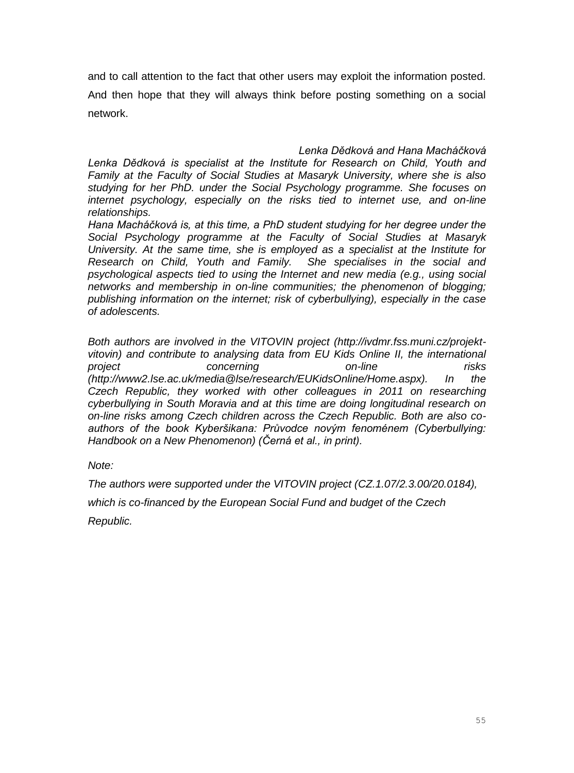and to call attention to the fact that other users may exploit the information posted. And then hope that they will always think before posting something on a social network.

*Lenka Dědková and Hana Macháčková*

Lenka Dědková is specialist at the Institute for Research on Child, Youth and *Family at the Faculty of Social Studies at Masaryk University, where she is also studying for her PhD. under the Social Psychology programme. She focuses on internet psychology, especially on the risks tied to internet use, and on-line relationships.* 

*Hana Macháčková is, at this time, a PhD student studying for her degree under the Social Psychology programme at the Faculty of Social Studies at Masaryk University. At the same time, she is employed as a specialist at the Institute for Research on Child, Youth and Family. She specialises in the social and psychological aspects tied to using the Internet and new media (e.g., using social networks and membership in on-line communities; the phenomenon of blogging; publishing information on the internet; risk of cyberbullying), especially in the case of adolescents.*

*Both authors are involved in the VITOVIN project (http://ivdmr.fss.muni.cz/projektvitovin) and contribute to analysing data from EU Kids Online II, the international project concerning on-line risks (http://www2.lse.ac.uk/media@lse/research/EUKidsOnline/Home.aspx). In the Czech Republic, they worked with other colleagues in 2011 on researching cyberbullying in South Moravia and at this time are doing longitudinal research on on-line risks among Czech children across the Czech Republic. Both are also coauthors of the book Kyberšikana: Průvodce novým fenoménem (Cyberbullying: Handbook on a New Phenomenon) (Černá et al., in print).* 

*Note:*

*The authors were supported under the VITOVIN project (CZ.1.07/2.3.00/20.0184),* 

*which is co-financed by the European Social Fund and budget of the Czech* 

*Republic.*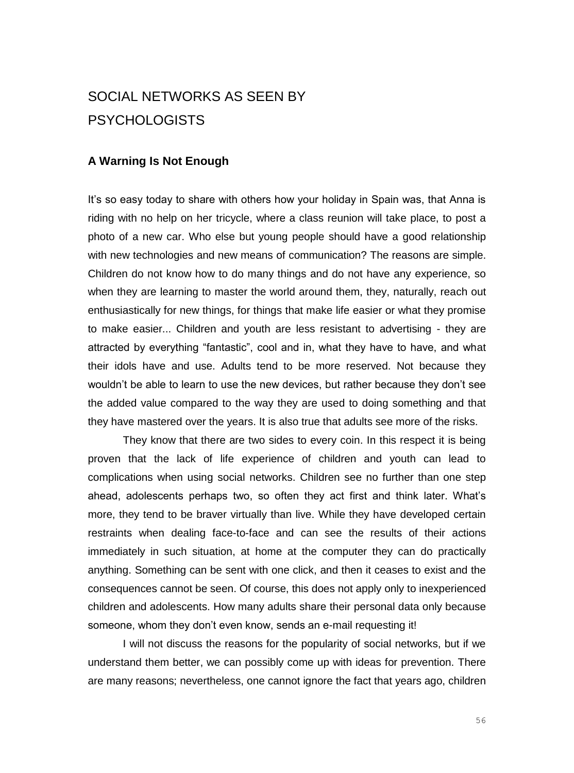# SOCIAL NETWORKS AS SEEN BY **PSYCHOLOGISTS**

## **A Warning Is Not Enough**

It's so easy today to share with others how your holiday in Spain was, that Anna is riding with no help on her tricycle, where a class reunion will take place, to post a photo of a new car. Who else but young people should have a good relationship with new technologies and new means of communication? The reasons are simple. Children do not know how to do many things and do not have any experience, so when they are learning to master the world around them, they, naturally, reach out enthusiastically for new things, for things that make life easier or what they promise to make easier... Children and youth are less resistant to advertising - they are attracted by everything "fantastic", cool and in, what they have to have, and what their idols have and use. Adults tend to be more reserved. Not because they wouldn't be able to learn to use the new devices, but rather because they don't see the added value compared to the way they are used to doing something and that they have mastered over the years. It is also true that adults see more of the risks.

They know that there are two sides to every coin. In this respect it is being proven that the lack of life experience of children and youth can lead to complications when using social networks. Children see no further than one step ahead, adolescents perhaps two, so often they act first and think later. What's more, they tend to be braver virtually than live. While they have developed certain restraints when dealing face-to-face and can see the results of their actions immediately in such situation, at home at the computer they can do practically anything. Something can be sent with one click, and then it ceases to exist and the consequences cannot be seen. Of course, this does not apply only to inexperienced children and adolescents. How many adults share their personal data only because someone, whom they don't even know, sends an e-mail requesting it!

I will not discuss the reasons for the popularity of social networks, but if we understand them better, we can possibly come up with ideas for prevention. There are many reasons; nevertheless, one cannot ignore the fact that years ago, children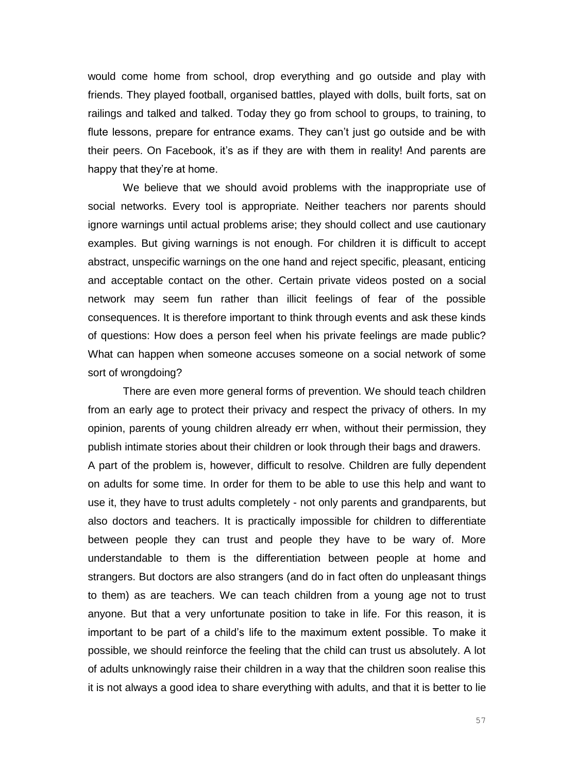would come home from school, drop everything and go outside and play with friends. They played football, organised battles, played with dolls, built forts, sat on railings and talked and talked. Today they go from school to groups, to training, to flute lessons, prepare for entrance exams. They can't just go outside and be with their peers. On Facebook, it's as if they are with them in reality! And parents are happy that they're at home.

We believe that we should avoid problems with the inappropriate use of social networks. Every tool is appropriate. Neither teachers nor parents should ignore warnings until actual problems arise; they should collect and use cautionary examples. But giving warnings is not enough. For children it is difficult to accept abstract, unspecific warnings on the one hand and reject specific, pleasant, enticing and acceptable contact on the other. Certain private videos posted on a social network may seem fun rather than illicit feelings of fear of the possible consequences. It is therefore important to think through events and ask these kinds of questions: How does a person feel when his private feelings are made public? What can happen when someone accuses someone on a social network of some sort of wrongdoing?

There are even more general forms of prevention. We should teach children from an early age to protect their privacy and respect the privacy of others. In my opinion, parents of young children already err when, without their permission, they publish intimate stories about their children or look through their bags and drawers. A part of the problem is, however, difficult to resolve. Children are fully dependent on adults for some time. In order for them to be able to use this help and want to use it, they have to trust adults completely - not only parents and grandparents, but also doctors and teachers. It is practically impossible for children to differentiate between people they can trust and people they have to be wary of. More understandable to them is the differentiation between people at home and strangers. But doctors are also strangers (and do in fact often do unpleasant things to them) as are teachers. We can teach children from a young age not to trust anyone. But that a very unfortunate position to take in life. For this reason, it is important to be part of a child's life to the maximum extent possible. To make it possible, we should reinforce the feeling that the child can trust us absolutely. A lot of adults unknowingly raise their children in a way that the children soon realise this it is not always a good idea to share everything with adults, and that it is better to lie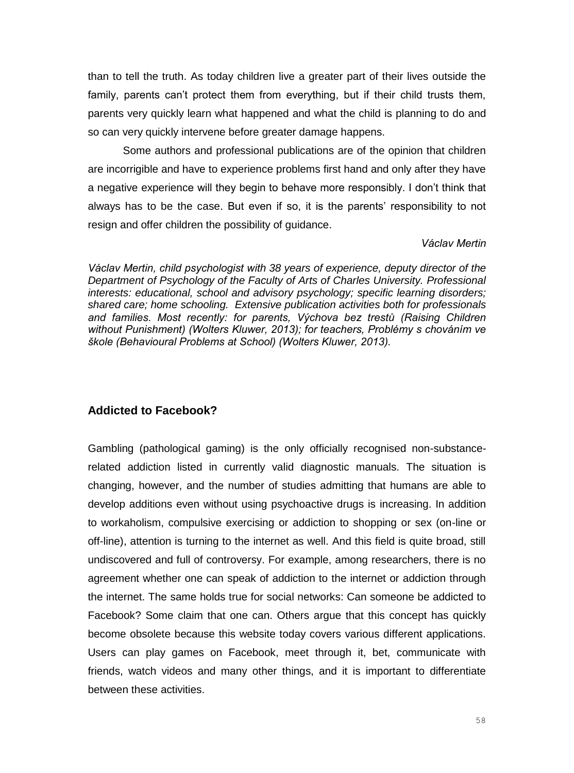than to tell the truth. As today children live a greater part of their lives outside the family, parents can't protect them from everything, but if their child trusts them, parents very quickly learn what happened and what the child is planning to do and so can very quickly intervene before greater damage happens.

Some authors and professional publications are of the opinion that children are incorrigible and have to experience problems first hand and only after they have a negative experience will they begin to behave more responsibly. I don't think that always has to be the case. But even if so, it is the parents' responsibility to not resign and offer children the possibility of guidance.

#### *Václav Mertin*

*Václav Mertin, child psychologist with 38 years of experience, deputy director of the Department of Psychology of the Faculty of Arts of Charles University. Professional interests: educational, school and advisory psychology; specific learning disorders; shared care; home schooling. Extensive publication activities both for professionals and families. Most recently: for parents, Výchova bez trestů (Raising Children without Punishment) (Wolters Kluwer, 2013); for teachers, Problémy s chováním ve škole (Behavioural Problems at School) (Wolters Kluwer, 2013).*

## **Addicted to Facebook?**

Gambling (pathological gaming) is the only officially recognised non-substancerelated addiction listed in currently valid diagnostic manuals. The situation is changing, however, and the number of studies admitting that humans are able to develop additions even without using psychoactive drugs is increasing. In addition to workaholism, compulsive exercising or addiction to shopping or sex (on-line or off-line), attention is turning to the internet as well. And this field is quite broad, still undiscovered and full of controversy. For example, among researchers, there is no agreement whether one can speak of addiction to the internet or addiction through the internet. The same holds true for social networks: Can someone be addicted to Facebook? Some claim that one can. Others argue that this concept has quickly become obsolete because this website today covers various different applications. Users can play games on Facebook, meet through it, bet, communicate with friends, watch videos and many other things, and it is important to differentiate between these activities.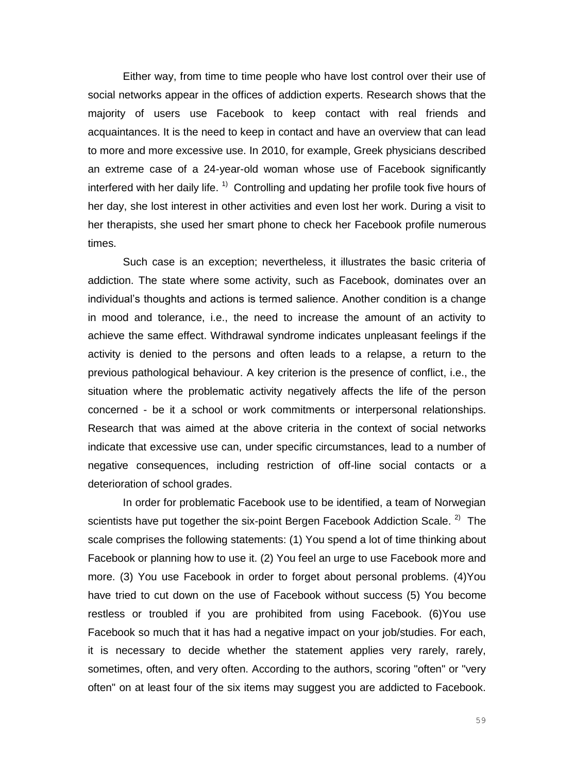Either way, from time to time people who have lost control over their use of social networks appear in the offices of addiction experts. Research shows that the majority of users use Facebook to keep contact with real friends and acquaintances. It is the need to keep in contact and have an overview that can lead to more and more excessive use. In 2010, for example, Greek physicians described an extreme case of a 24-year-old woman whose use of Facebook significantly interfered with her daily life.  $1)$  Controlling and updating her profile took five hours of her day, she lost interest in other activities and even lost her work. During a visit to her therapists, she used her smart phone to check her Facebook profile numerous times.

Such case is an exception; nevertheless, it illustrates the basic criteria of addiction. The state where some activity, such as Facebook, dominates over an individual's thoughts and actions is termed salience. Another condition is a change in mood and tolerance, i.e., the need to increase the amount of an activity to achieve the same effect. Withdrawal syndrome indicates unpleasant feelings if the activity is denied to the persons and often leads to a relapse, a return to the previous pathological behaviour. A key criterion is the presence of conflict, i.e., the situation where the problematic activity negatively affects the life of the person concerned - be it a school or work commitments or interpersonal relationships. Research that was aimed at the above criteria in the context of social networks indicate that excessive use can, under specific circumstances, lead to a number of negative consequences, including restriction of off-line social contacts or a deterioration of school grades.

In order for problematic Facebook use to be identified, a team of Norwegian scientists have put together the six-point Bergen Facebook Addiction Scale.<sup>2</sup> The scale comprises the following statements: (1) You spend a lot of time thinking about Facebook or planning how to use it. (2) You feel an urge to use Facebook more and more. (3) You use Facebook in order to forget about personal problems. (4)You have tried to cut down on the use of Facebook without success (5) You become restless or troubled if you are prohibited from using Facebook. (6)You use Facebook so much that it has had a negative impact on your job/studies. For each, it is necessary to decide whether the statement applies very rarely, rarely, sometimes, often, and very often. According to the authors, scoring "often" or "very often" on at least four of the six items may suggest you are addicted to Facebook.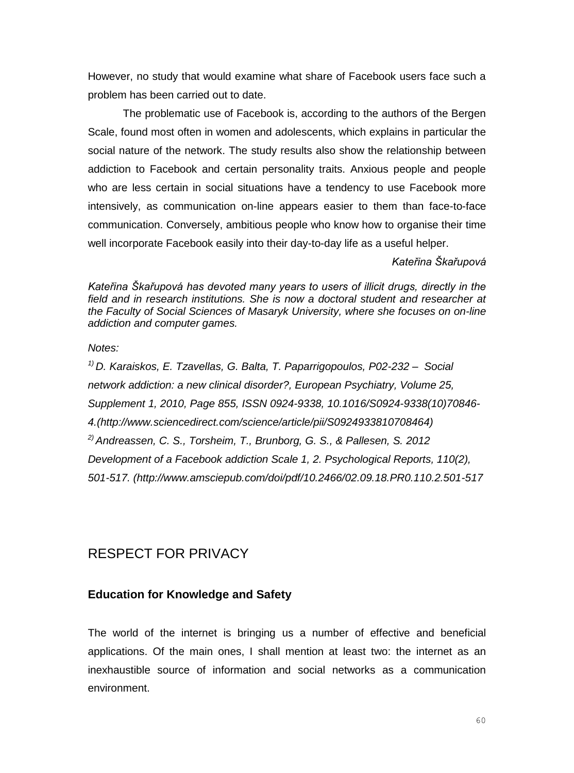However, no study that would examine what share of Facebook users face such a problem has been carried out to date.

The problematic use of Facebook is, according to the authors of the Bergen Scale, found most often in women and adolescents, which explains in particular the social nature of the network. The study results also show the relationship between addiction to Facebook and certain personality traits. Anxious people and people who are less certain in social situations have a tendency to use Facebook more intensively, as communication on-line appears easier to them than face-to-face communication. Conversely, ambitious people who know how to organise their time well incorporate Facebook easily into their day-to-day life as a useful helper.

#### *Kateřina Škařupová*

*Kateřina Škařupová has devoted many years to users of illicit drugs, directly in the*  field and in research institutions. She is now a doctoral student and researcher at *the Faculty of Social Sciences of Masaryk University, where she focuses on on-line addiction and computer games.*

#### *Notes:*

*1) D. Karaiskos, E. Tzavellas, G. Balta, T. Paparrigopoulos, P02-232 – Social network addiction: a new clinical disorder?, European Psychiatry, Volume 25, Supplement 1, 2010, Page 855, ISSN 0924-9338, 10.1016/S0924-9338(10)70846- 4.(http://www.sciencedirect.com/science/article/pii/S0924933810708464) 2) Andreassen, C. S., Torsheim, T., Brunborg, G. S., & Pallesen, S. 2012 Development of a Facebook addiction Scale 1, 2. Psychological Reports, 110(2), 501-517. (http://www.amsciepub.com/doi/pdf/10.2466/02.09.18.PR0.110.2.501-517*

## RESPECT FOR PRIVACY

## **Education for Knowledge and Safety**

The world of the internet is bringing us a number of effective and beneficial applications. Of the main ones, I shall mention at least two: the internet as an inexhaustible source of information and social networks as a communication environment.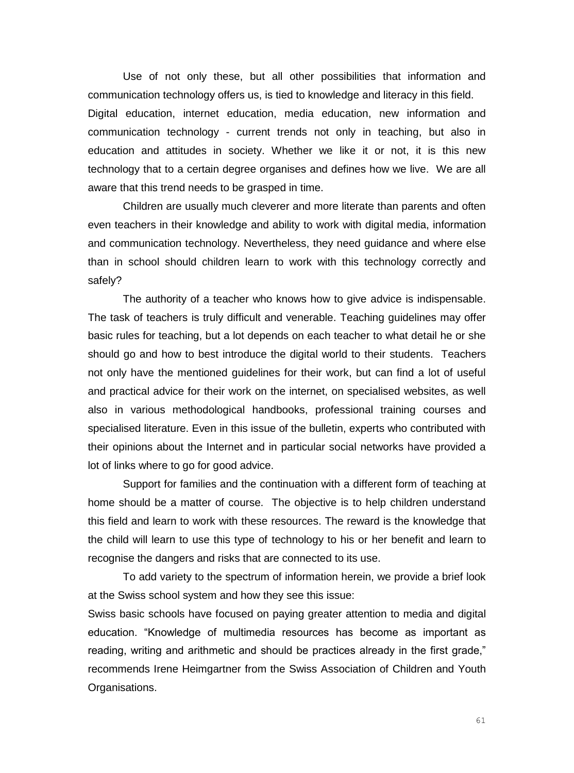Use of not only these, but all other possibilities that information and communication technology offers us, is tied to knowledge and literacy in this field. Digital education, internet education, media education, new information and communication technology - current trends not only in teaching, but also in education and attitudes in society. Whether we like it or not, it is this new technology that to a certain degree organises and defines how we live. We are all aware that this trend needs to be grasped in time.

Children are usually much cleverer and more literate than parents and often even teachers in their knowledge and ability to work with digital media, information and communication technology. Nevertheless, they need guidance and where else than in school should children learn to work with this technology correctly and safely?

The authority of a teacher who knows how to give advice is indispensable. The task of teachers is truly difficult and venerable. Teaching guidelines may offer basic rules for teaching, but a lot depends on each teacher to what detail he or she should go and how to best introduce the digital world to their students. Teachers not only have the mentioned guidelines for their work, but can find a lot of useful and practical advice for their work on the internet, on specialised websites, as well also in various methodological handbooks, professional training courses and specialised literature. Even in this issue of the bulletin, experts who contributed with their opinions about the Internet and in particular social networks have provided a lot of links where to go for good advice.

Support for families and the continuation with a different form of teaching at home should be a matter of course. The objective is to help children understand this field and learn to work with these resources. The reward is the knowledge that the child will learn to use this type of technology to his or her benefit and learn to recognise the dangers and risks that are connected to its use.

To add variety to the spectrum of information herein, we provide a brief look at the Swiss school system and how they see this issue:

Swiss basic schools have focused on paying greater attention to media and digital education. "Knowledge of multimedia resources has become as important as reading, writing and arithmetic and should be practices already in the first grade," recommends Irene Heimgartner from the Swiss Association of Children and Youth Organisations.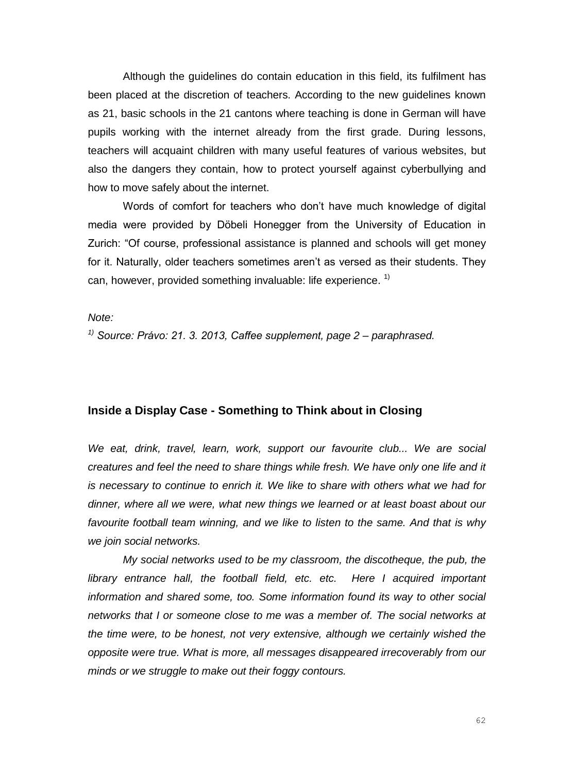Although the guidelines do contain education in this field, its fulfilment has been placed at the discretion of teachers. According to the new guidelines known as 21, basic schools in the 21 cantons where teaching is done in German will have pupils working with the internet already from the first grade. During lessons, teachers will acquaint children with many useful features of various websites, but also the dangers they contain, how to protect yourself against cyberbullying and how to move safely about the internet.

Words of comfort for teachers who don't have much knowledge of digital media were provided by Döbeli Honegger from the University of Education in Zurich: "Of course, professional assistance is planned and schools will get money for it. Naturally, older teachers sometimes aren't as versed as their students. They can, however, provided something invaluable: life experience.  $1$ 

*Note:*

*1) Source: Právo: 21. 3. 2013, Caffee supplement, page 2 – paraphrased.* 

#### **Inside a Display Case - Something to Think about in Closing**

We eat, drink, travel, learn, work, support our favourite club... We are social *creatures and feel the need to share things while fresh. We have only one life and it is necessary to continue to enrich it. We like to share with others what we had for dinner, where all we were, what new things we learned or at least boast about our favourite football team winning, and we like to listen to the same. And that is why we join social networks.*

*My social networks used to be my classroom, the discotheque, the pub, the*  library entrance hall, the football field, etc. etc. Here I acquired important *information and shared some, too. Some information found its way to other social networks that I or someone close to me was a member of. The social networks at the time were, to be honest, not very extensive, although we certainly wished the opposite were true. What is more, all messages disappeared irrecoverably from our minds or we struggle to make out their foggy contours.*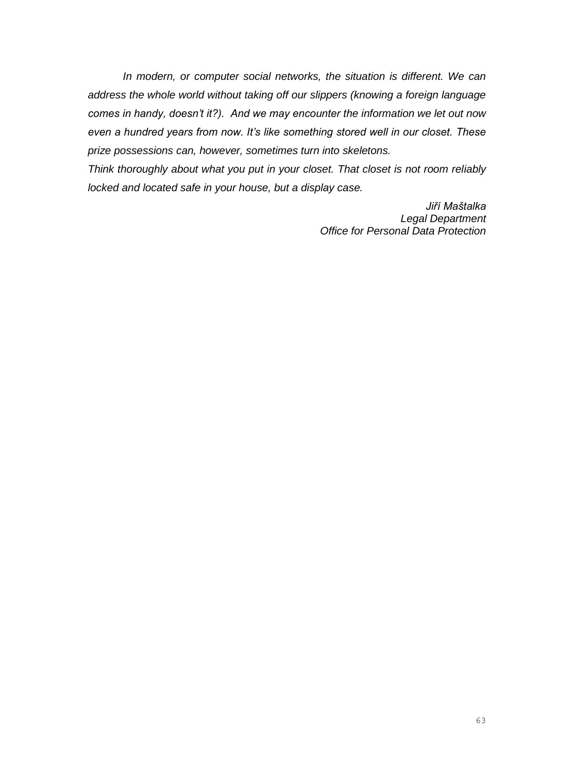*In modern, or computer social networks, the situation is different. We can address the whole world without taking off our slippers (knowing a foreign language comes in handy, doesn't it?). And we may encounter the information we let out now even a hundred years from now. It's like something stored well in our closet. These prize possessions can, however, sometimes turn into skeletons.* 

*Think thoroughly about what you put in your closet. That closet is not room reliably locked and located safe in your house, but a display case.* 

> *Jiří Maštalka Legal Department Office for Personal Data Protection*